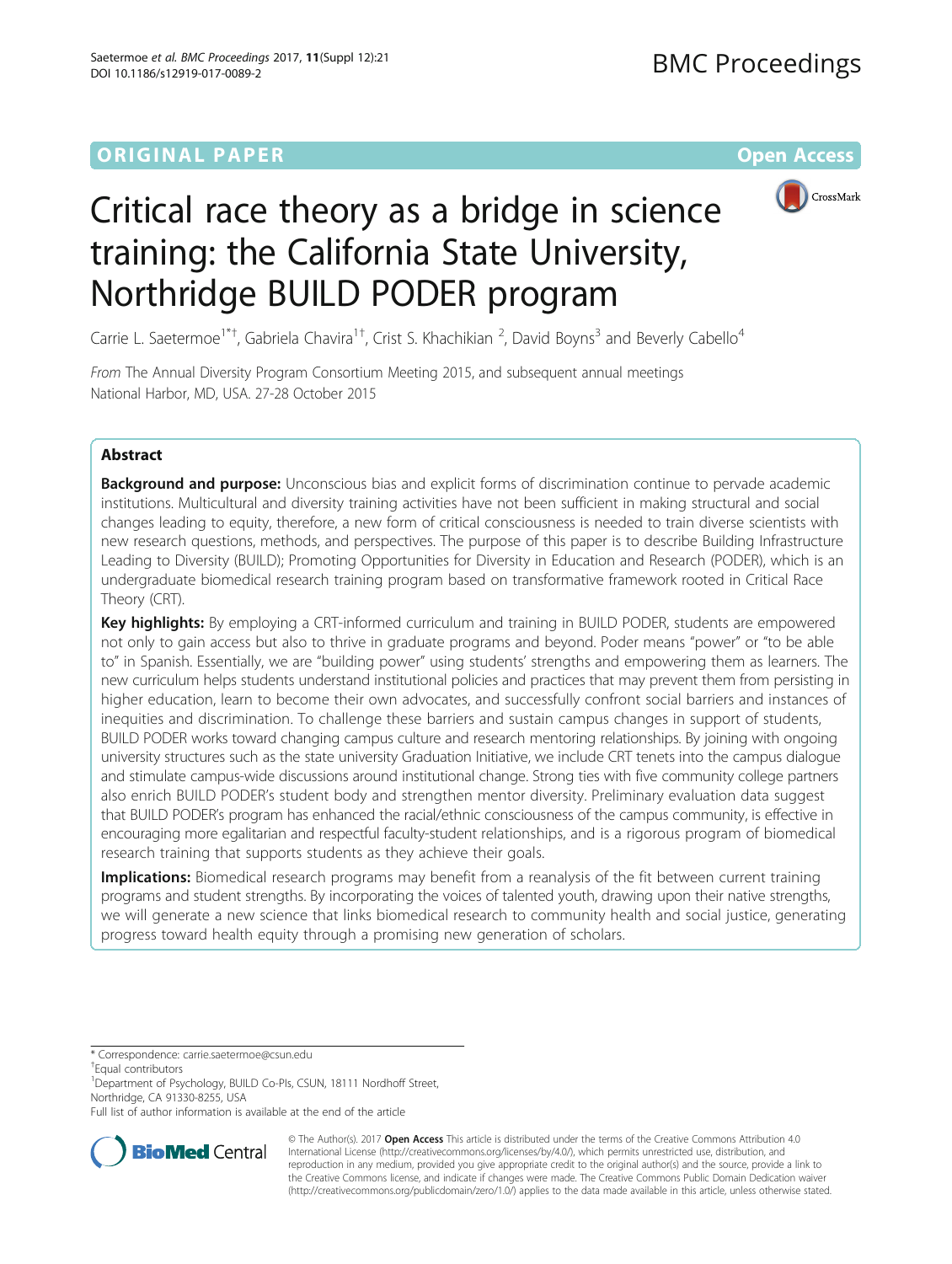# **ORIGINAL PAPER** And the second contract of the second contract of the second contract of the second contract of the second contract of the second contract of the second contract of the second contract of the second contra



# Critical race theory as a bridge in science training: the California State University, Northridge BUILD PODER program

Carrie L. Saetermoe<sup>1\*†</sup>, Gabriela Chavira<sup>1†</sup>, Crist S. Khachikian <sup>2</sup>, David Boyns<sup>3</sup> and Beverly Cabello<sup>4</sup>

From The Annual Diversity Program Consortium Meeting 2015, and subsequent annual meetings National Harbor, MD, USA. 27-28 October 2015

# Abstract

**Background and purpose:** Unconscious bias and explicit forms of discrimination continue to pervade academic institutions. Multicultural and diversity training activities have not been sufficient in making structural and social changes leading to equity, therefore, a new form of critical consciousness is needed to train diverse scientists with new research questions, methods, and perspectives. The purpose of this paper is to describe Building Infrastructure Leading to Diversity (BUILD); Promoting Opportunities for Diversity in Education and Research (PODER), which is an undergraduate biomedical research training program based on transformative framework rooted in Critical Race Theory (CRT).

Key highlights: By employing a CRT-informed curriculum and training in BUILD PODER, students are empowered not only to gain access but also to thrive in graduate programs and beyond. Poder means "power" or "to be able to" in Spanish. Essentially, we are "building power" using students' strengths and empowering them as learners. The new curriculum helps students understand institutional policies and practices that may prevent them from persisting in higher education, learn to become their own advocates, and successfully confront social barriers and instances of inequities and discrimination. To challenge these barriers and sustain campus changes in support of students, BUILD PODER works toward changing campus culture and research mentoring relationships. By joining with ongoing university structures such as the state university Graduation Initiative, we include CRT tenets into the campus dialogue and stimulate campus-wide discussions around institutional change. Strong ties with five community college partners also enrich BUILD PODER's student body and strengthen mentor diversity. Preliminary evaluation data suggest that BUILD PODER's program has enhanced the racial/ethnic consciousness of the campus community, is effective in encouraging more egalitarian and respectful faculty-student relationships, and is a rigorous program of biomedical research training that supports students as they achieve their goals.

Implications: Biomedical research programs may benefit from a reanalysis of the fit between current training programs and student strengths. By incorporating the voices of talented youth, drawing upon their native strengths, we will generate a new science that links biomedical research to community health and social justice, generating progress toward health equity through a promising new generation of scholars.

\* Correspondence: [carrie.saetermoe@csun.edu](mailto:carrie.saetermoe@csun.edu) †

Equal contributors

<sup>1</sup>Department of Psychology, BUILD Co-PIs, CSUN, 18111 Nordhoff Street, Northridge, CA 91330-8255, USA

Full list of author information is available at the end of the article



© The Author(s). 2017 **Open Access** This article is distributed under the terms of the Creative Commons Attribution 4.0 International License [\(http://creativecommons.org/licenses/by/4.0/](http://creativecommons.org/licenses/by/4.0/)), which permits unrestricted use, distribution, and reproduction in any medium, provided you give appropriate credit to the original author(s) and the source, provide a link to the Creative Commons license, and indicate if changes were made. The Creative Commons Public Domain Dedication waiver [\(http://creativecommons.org/publicdomain/zero/1.0/](http://creativecommons.org/publicdomain/zero/1.0/)) applies to the data made available in this article, unless otherwise stated.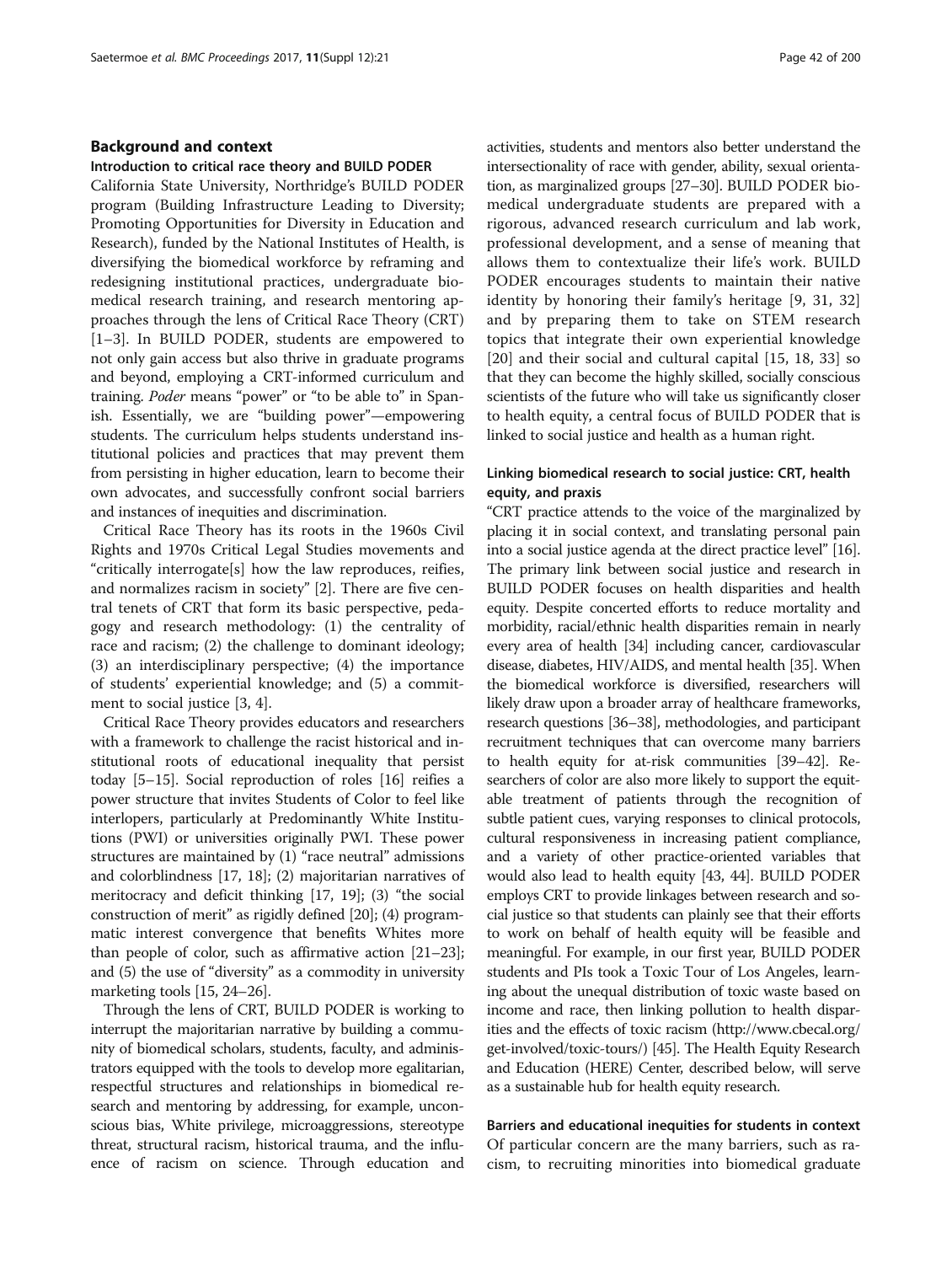#### Background and context

#### Introduction to critical race theory and BUILD PODER

California State University, Northridge's BUILD PODER program (Building Infrastructure Leading to Diversity; Promoting Opportunities for Diversity in Education and Research), funded by the National Institutes of Health, is diversifying the biomedical workforce by reframing and redesigning institutional practices, undergraduate biomedical research training, and research mentoring approaches through the lens of Critical Race Theory (CRT) [[1](#page-12-0)–[3\]](#page-12-0). In BUILD PODER, students are empowered to not only gain access but also thrive in graduate programs and beyond, employing a CRT-informed curriculum and training. Poder means "power" or "to be able to" in Spanish. Essentially, we are "building power"—empowering students. The curriculum helps students understand institutional policies and practices that may prevent them from persisting in higher education, learn to become their own advocates, and successfully confront social barriers and instances of inequities and discrimination.

Critical Race Theory has its roots in the 1960s Civil Rights and 1970s Critical Legal Studies movements and "critically interrogate[s] how the law reproduces, reifies, and normalizes racism in society" [[2\]](#page-12-0). There are five central tenets of CRT that form its basic perspective, pedagogy and research methodology: (1) the centrality of race and racism; (2) the challenge to dominant ideology; (3) an interdisciplinary perspective; (4) the importance of students' experiential knowledge; and (5) a commitment to social justice [[3, 4\]](#page-12-0).

Critical Race Theory provides educators and researchers with a framework to challenge the racist historical and institutional roots of educational inequality that persist today [\[5](#page-12-0)–[15\]](#page-12-0). Social reproduction of roles [[16](#page-12-0)] reifies a power structure that invites Students of Color to feel like interlopers, particularly at Predominantly White Institutions (PWI) or universities originally PWI. These power structures are maintained by (1) "race neutral" admissions and colorblindness [\[17](#page-12-0), [18](#page-12-0)]; (2) majoritarian narratives of meritocracy and deficit thinking [\[17, 19\]](#page-12-0); (3) "the social construction of merit" as rigidly defined [[20](#page-12-0)]; (4) programmatic interest convergence that benefits Whites more than people of color, such as affirmative action [\[21](#page-12-0)–[23](#page-12-0)]; and (5) the use of "diversity" as a commodity in university marketing tools [\[15, 24](#page-12-0)–[26](#page-12-0)].

Through the lens of CRT, BUILD PODER is working to interrupt the majoritarian narrative by building a community of biomedical scholars, students, faculty, and administrators equipped with the tools to develop more egalitarian, respectful structures and relationships in biomedical research and mentoring by addressing, for example, unconscious bias, White privilege, microaggressions, stereotype threat, structural racism, historical trauma, and the influence of racism on science. Through education and activities, students and mentors also better understand the intersectionality of race with gender, ability, sexual orientation, as marginalized groups [\[27](#page-12-0)–[30](#page-12-0)]. BUILD PODER biomedical undergraduate students are prepared with a rigorous, advanced research curriculum and lab work, professional development, and a sense of meaning that allows them to contextualize their life's work. BUILD PODER encourages students to maintain their native identity by honoring their family's heritage [\[9](#page-12-0), [31, 32](#page-12-0)] and by preparing them to take on STEM research topics that integrate their own experiential knowledge [[20\]](#page-12-0) and their social and cultural capital [[15, 18](#page-12-0), [33\]](#page-12-0) so that they can become the highly skilled, socially conscious scientists of the future who will take us significantly closer to health equity, a central focus of BUILD PODER that is linked to social justice and health as a human right.

#### Linking biomedical research to social justice: CRT, health equity, and praxis

"CRT practice attends to the voice of the marginalized by placing it in social context, and translating personal pain into a social justice agenda at the direct practice level" [\[16](#page-12-0)]. The primary link between social justice and research in BUILD PODER focuses on health disparities and health equity. Despite concerted efforts to reduce mortality and morbidity, racial/ethnic health disparities remain in nearly every area of health [\[34\]](#page-12-0) including cancer, cardiovascular disease, diabetes, HIV/AIDS, and mental health [\[35](#page-12-0)]. When the biomedical workforce is diversified, researchers will likely draw upon a broader array of healthcare frameworks, research questions [\[36](#page-12-0)–[38](#page-12-0)], methodologies, and participant recruitment techniques that can overcome many barriers to health equity for at-risk communities [[39](#page-12-0)–[42\]](#page-12-0). Researchers of color are also more likely to support the equitable treatment of patients through the recognition of subtle patient cues, varying responses to clinical protocols, cultural responsiveness in increasing patient compliance, and a variety of other practice-oriented variables that would also lead to health equity [[43](#page-12-0), [44\]](#page-12-0). BUILD PODER employs CRT to provide linkages between research and social justice so that students can plainly see that their efforts to work on behalf of health equity will be feasible and meaningful. For example, in our first year, BUILD PODER students and PIs took a Toxic Tour of Los Angeles, learning about the unequal distribution of toxic waste based on income and race, then linking pollution to health disparities and the effects of toxic racism [\(http://www.cbecal.org/](http://www.cbecal.org/get-involved/toxic-tours) [get-involved/toxic-tours/](http://www.cbecal.org/get-involved/toxic-tours)) [\[45](#page-12-0)]. The Health Equity Research and Education (HERE) Center, described below, will serve as a sustainable hub for health equity research.

#### Barriers and educational inequities for students in context

Of particular concern are the many barriers, such as racism, to recruiting minorities into biomedical graduate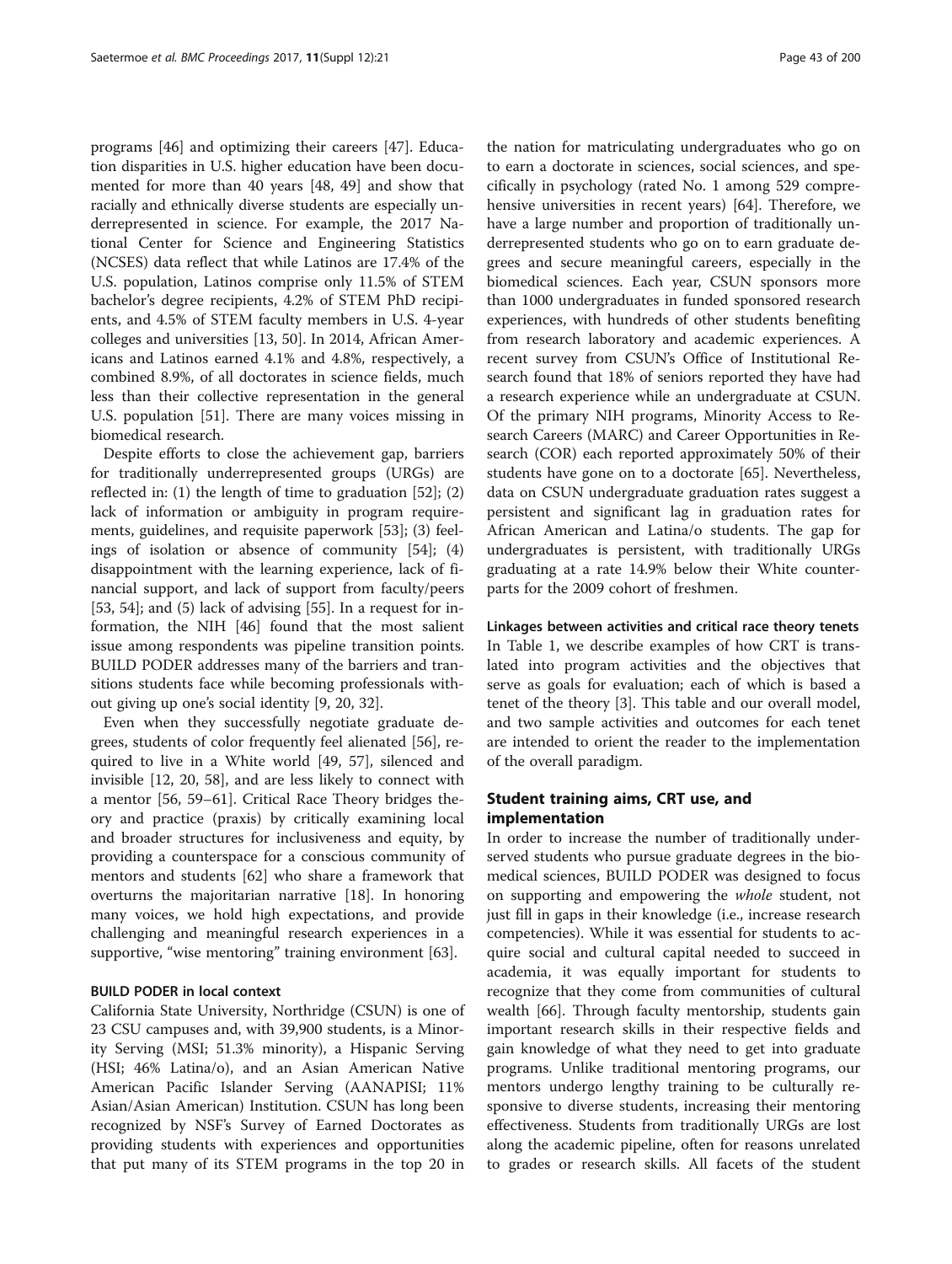programs [\[46](#page-12-0)] and optimizing their careers [\[47](#page-12-0)]. Education disparities in U.S. higher education have been documented for more than 40 years [\[48, 49\]](#page-12-0) and show that racially and ethnically diverse students are especially underrepresented in science. For example, the 2017 National Center for Science and Engineering Statistics (NCSES) data reflect that while Latinos are 17.4% of the U.S. population, Latinos comprise only 11.5% of STEM bachelor's degree recipients, 4.2% of STEM PhD recipients, and 4.5% of STEM faculty members in U.S. 4-year colleges and universities [[13](#page-12-0), [50](#page-12-0)]. In 2014, African Americans and Latinos earned 4.1% and 4.8%, respectively, a combined 8.9%, of all doctorates in science fields, much less than their collective representation in the general U.S. population [\[51](#page-12-0)]. There are many voices missing in biomedical research.

Despite efforts to close the achievement gap, barriers for traditionally underrepresented groups (URGs) are reflected in:  $(1)$  the length of time to graduation [\[52\]](#page-12-0);  $(2)$ lack of information or ambiguity in program requirements, guidelines, and requisite paperwork [[53\]](#page-13-0); (3) feelings of isolation or absence of community [[54\]](#page-13-0); (4) disappointment with the learning experience, lack of financial support, and lack of support from faculty/peers [[53, 54\]](#page-13-0); and (5) lack of advising [\[55](#page-13-0)]. In a request for information, the NIH [\[46](#page-12-0)] found that the most salient issue among respondents was pipeline transition points. BUILD PODER addresses many of the barriers and transitions students face while becoming professionals without giving up one's social identity [[9, 20, 32\]](#page-12-0).

Even when they successfully negotiate graduate degrees, students of color frequently feel alienated [[56](#page-13-0)], required to live in a White world [[49,](#page-12-0) [57](#page-13-0)], silenced and invisible [[12, 20](#page-12-0), [58\]](#page-13-0), and are less likely to connect with a mentor [[56](#page-13-0), [59](#page-13-0)–[61\]](#page-13-0). Critical Race Theory bridges theory and practice (praxis) by critically examining local and broader structures for inclusiveness and equity, by providing a counterspace for a conscious community of mentors and students [[62\]](#page-13-0) who share a framework that overturns the majoritarian narrative [[18\]](#page-12-0). In honoring many voices, we hold high expectations, and provide challenging and meaningful research experiences in a supportive, "wise mentoring" training environment [\[63](#page-13-0)].

#### BUILD PODER in local context

California State University, Northridge (CSUN) is one of 23 CSU campuses and, with 39,900 students, is a Minority Serving (MSI; 51.3% minority), a Hispanic Serving (HSI; 46% Latina/o), and an Asian American Native American Pacific Islander Serving (AANAPISI; 11% Asian/Asian American) Institution. CSUN has long been recognized by NSF's Survey of Earned Doctorates as providing students with experiences and opportunities that put many of its STEM programs in the top 20 in

the nation for matriculating undergraduates who go on to earn a doctorate in sciences, social sciences, and specifically in psychology (rated No. 1 among 529 comprehensive universities in recent years) [[64\]](#page-13-0). Therefore, we have a large number and proportion of traditionally underrepresented students who go on to earn graduate degrees and secure meaningful careers, especially in the biomedical sciences. Each year, CSUN sponsors more than 1000 undergraduates in funded sponsored research experiences, with hundreds of other students benefiting from research laboratory and academic experiences. A recent survey from CSUN's Office of Institutional Research found that 18% of seniors reported they have had a research experience while an undergraduate at CSUN. Of the primary NIH programs, Minority Access to Research Careers (MARC) and Career Opportunities in Research (COR) each reported approximately 50% of their students have gone on to a doctorate [[65\]](#page-13-0). Nevertheless, data on CSUN undergraduate graduation rates suggest a persistent and significant lag in graduation rates for African American and Latina/o students. The gap for undergraduates is persistent, with traditionally URGs graduating at a rate 14.9% below their White counterparts for the 2009 cohort of freshmen.

Linkages between activities and critical race theory tenets In Table [1](#page-3-0), we describe examples of how CRT is translated into program activities and the objectives that serve as goals for evaluation; each of which is based a tenet of the theory [[3\]](#page-12-0). This table and our overall model, and two sample activities and outcomes for each tenet are intended to orient the reader to the implementation of the overall paradigm.

#### Student training aims, CRT use, and implementation

In order to increase the number of traditionally underserved students who pursue graduate degrees in the biomedical sciences, BUILD PODER was designed to focus on supporting and empowering the whole student, not just fill in gaps in their knowledge (i.e., increase research competencies). While it was essential for students to acquire social and cultural capital needed to succeed in academia, it was equally important for students to recognize that they come from communities of cultural wealth [[66\]](#page-13-0). Through faculty mentorship, students gain important research skills in their respective fields and gain knowledge of what they need to get into graduate programs. Unlike traditional mentoring programs, our mentors undergo lengthy training to be culturally responsive to diverse students, increasing their mentoring effectiveness. Students from traditionally URGs are lost along the academic pipeline, often for reasons unrelated to grades or research skills. All facets of the student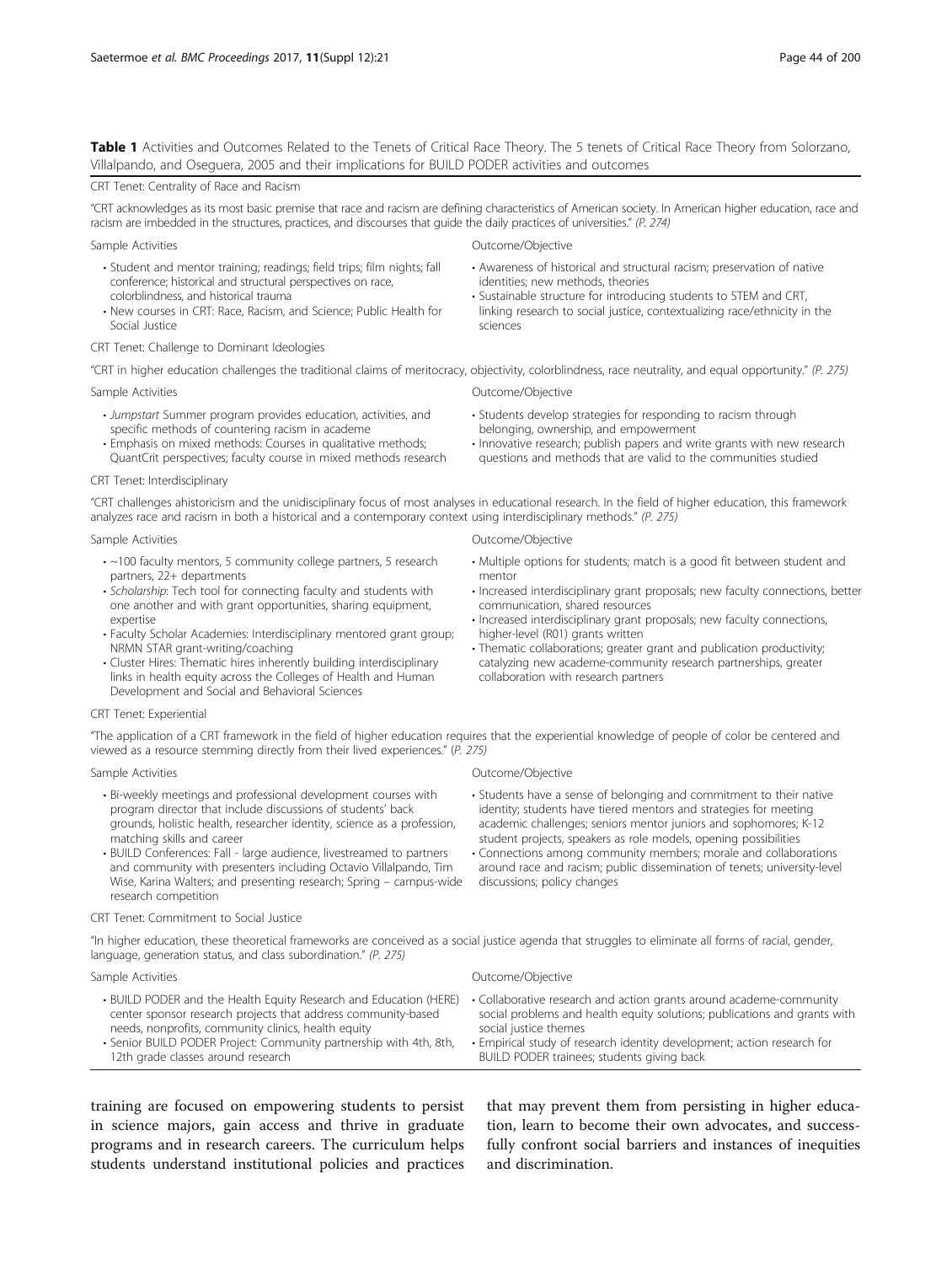<span id="page-3-0"></span>Table 1 Activities and Outcomes Related to the Tenets of Critical Race Theory. The 5 tenets of Critical Race Theory from Solorzano, Villalpando, and Oseguera, 2005 and their implications for BUILD PODER activities and outcomes

#### CRT Tenet: Centrality of Race and Racism

"CRT acknowledges as its most basic premise that race and racism are defining characteristics of American society. In American higher education, race and racism are imbedded in the structures, practices, and discourses that quide the daily practices of universities." (P. 274)

#### Sample Activities Outcome/Objective

- Student and mentor training; readings; field trips; film nights; fall conference; historical and structural perspectives on race, colorblindness, and historical trauma
- New courses in CRT: Race, Racism, and Science; Public Health for Social Justice

#### CRT Tenet: Challenge to Dominant Ideologies

"CRT in higher education challenges the traditional claims of meritocracy, objectivity, colorblindness, race neutrality, and equal opportunity." (P. 275)

- Jumpstart Summer program provides education, activities, and specific methods of countering racism in academe
- Emphasis on mixed methods: Courses in qualitative methods; QuantCrit perspectives; faculty course in mixed methods research

# • Awareness of historical and structural racism; preservation of native

- identities; new methods, theories • Sustainable structure for introducing students to STEM and CRT, linking research to social justice, contextualizing race/ethnicity in the
- sciences

#### Sample Activities **Sample Activities Contract Contract Contract Contract Contract Contract Contract Contract Contract Contract Contract Contract Contract Contract Contract Contract Contract Contract Contract Contract Con**

- Students develop strategies for responding to racism through belonging, ownership, and empowerment
- Innovative research; publish papers and write grants with new research questions and methods that are valid to the communities studied

• Multiple options for students; match is a good fit between student and

• Increased interdisciplinary grant proposals; new faculty connections,

• Thematic collaborations; greater grant and publication productivity; catalyzing new academe-community research partnerships, greater

• Students have a sense of belonging and commitment to their native identity; students have tiered mentors and strategies for meeting academic challenges; seniors mentor juniors and sophomores; K-12 student projects, speakers as role models, opening possibilities • Connections among community members; morale and collaborations around race and racism; public dissemination of tenets; university-level

• Increased interdisciplinary grant proposals; new faculty connections, better

#### CRT Tenet: Interdisciplinary

"CRT challenges ahistoricism and the unidisciplinary focus of most analyses in educational research. In the field of higher education, this framework analyzes race and racism in both a historical and a contemporary context using interdisciplinary methods." (P. 275)

mentor

communication, shared resources

higher-level (R01) grants written

collaboration with research partners

#### Sample Activities **Sample Activities Contract Contract Contract Contract Contract Contract Contract Contract Contract Contract Contract Contract Contract Contract Contract Contract Contract Contract Contract Contract Con**

- ~100 faculty mentors, 5 community college partners, 5 research partners, 22+ departments
- Scholarship: Tech tool for connecting faculty and students with one another and with grant opportunities, sharing equipment, expertise
- Faculty Scholar Academies: Interdisciplinary mentored grant group; NRMN STAR grant-writing/coaching
- Cluster Hires: Thematic hires inherently building interdisciplinary links in health equity across the Colleges of Health and Human Development and Social and Behavioral Sciences

#### CRT Tenet: Experiential

"The application of a CRT framework in the field of higher education requires that the experiential knowledge of people of color be centered and viewed as a resource stemming directly from their lived experiences." (P. 275)

#### Sample Activities **Contract Contract Contract Contract Contract Contract Contract Contract Contract Contract Contract Contract Contract Contract Contract Contract Contract Contract Contract Contract Contract Contract Contr**

- Bi-weekly meetings and professional development courses with program director that include discussions of students' back grounds, holistic health, researcher identity, science as a profession, matching skills and career
- BUILD Conferences: Fall large audience, livestreamed to partners and community with presenters including Octavio Villalpando, Tim Wise, Karina Walters; and presenting research; Spring – campus-wide research competition

#### CRT Tenet: Commitment to Social Justice

"In higher education, these theoretical frameworks are conceived as a social justice agenda that struggles to eliminate all forms of racial, gender, language, generation status, and class subordination." (P. 275)

#### Sample Activities **Contract Contract Contract Contract Contract Contract Contract Contract Contract Contract Contract Contract Contract Contract Contract Contract Contract Contract Contract Contract Contract Contract Contr**

discussions; policy changes

• BUILD PODER and the Health Equity Research and Education (HERE) • Collaborative research and action grants around academe-community center sponsor research projects that address community-based needs, nonprofits, community clinics, health equity • Senior BUILD PODER Project: Community partnership with 4th, 8th, 12th grade classes around research social problems and health equity solutions; publications and grants with social justice themes • Empirical study of research identity development; action research for BUILD PODER trainees; students giving back

training are focused on empowering students to persist in science majors, gain access and thrive in graduate programs and in research careers. The curriculum helps students understand institutional policies and practices

that may prevent them from persisting in higher education, learn to become their own advocates, and successfully confront social barriers and instances of inequities and discrimination.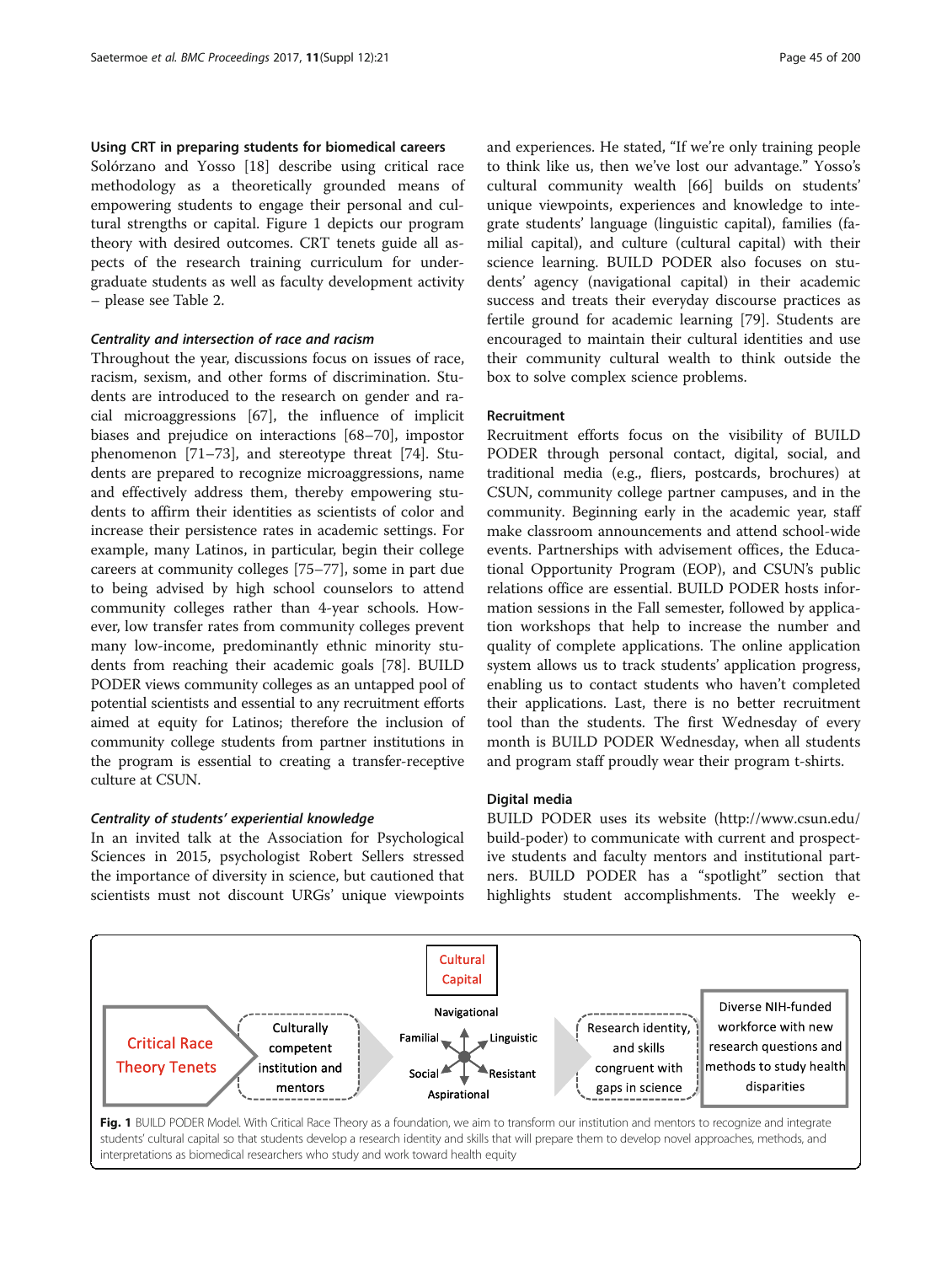#### Using CRT in preparing students for biomedical careers

Solórzano and Yosso [[18\]](#page-12-0) describe using critical race methodology as a theoretically grounded means of empowering students to engage their personal and cultural strengths or capital. Figure 1 depicts our program theory with desired outcomes. CRT tenets guide all aspects of the research training curriculum for undergraduate students as well as faculty development activity – please see Table [2](#page-5-0).

#### Centrality and intersection of race and racism

Throughout the year, discussions focus on issues of race, racism, sexism, and other forms of discrimination. Students are introduced to the research on gender and racial microaggressions [[67\]](#page-13-0), the influence of implicit biases and prejudice on interactions [\[68](#page-13-0)–[70\]](#page-13-0), impostor phenomenon [[71](#page-13-0)–[73](#page-13-0)], and stereotype threat [\[74](#page-13-0)]. Students are prepared to recognize microaggressions, name and effectively address them, thereby empowering students to affirm their identities as scientists of color and increase their persistence rates in academic settings. For example, many Latinos, in particular, begin their college careers at community colleges [[75](#page-13-0)–[77](#page-13-0)], some in part due to being advised by high school counselors to attend community colleges rather than 4-year schools. However, low transfer rates from community colleges prevent many low-income, predominantly ethnic minority students from reaching their academic goals [[78\]](#page-13-0). BUILD PODER views community colleges as an untapped pool of potential scientists and essential to any recruitment efforts aimed at equity for Latinos; therefore the inclusion of community college students from partner institutions in the program is essential to creating a transfer-receptive culture at CSUN.

#### Centrality of students' experiential knowledge

In an invited talk at the Association for Psychological Sciences in 2015, psychologist Robert Sellers stressed the importance of diversity in science, but cautioned that scientists must not discount URGs' unique viewpoints and experiences. He stated, "If we're only training people to think like us, then we've lost our advantage." Yosso's cultural community wealth [\[66](#page-13-0)] builds on students' unique viewpoints, experiences and knowledge to integrate students' language (linguistic capital), families (familial capital), and culture (cultural capital) with their science learning. BUILD PODER also focuses on students' agency (navigational capital) in their academic success and treats their everyday discourse practices as fertile ground for academic learning [\[79](#page-13-0)]. Students are encouraged to maintain their cultural identities and use their community cultural wealth to think outside the box to solve complex science problems.

#### Recruitment

Recruitment efforts focus on the visibility of BUILD PODER through personal contact, digital, social, and traditional media (e.g., fliers, postcards, brochures) at CSUN, community college partner campuses, and in the community. Beginning early in the academic year, staff make classroom announcements and attend school-wide events. Partnerships with advisement offices, the Educational Opportunity Program (EOP), and CSUN's public relations office are essential. BUILD PODER hosts information sessions in the Fall semester, followed by application workshops that help to increase the number and quality of complete applications. The online application system allows us to track students' application progress, enabling us to contact students who haven't completed their applications. Last, there is no better recruitment tool than the students. The first Wednesday of every month is BUILD PODER Wednesday, when all students and program staff proudly wear their program t-shirts.

#### Digital media

BUILD PODER uses its website [\(http://www.csun.edu/](http://www.csun.edu/build-poder) [build-poder\)](http://www.csun.edu/build-poder) to communicate with current and prospective students and faculty mentors and institutional partners. BUILD PODER has a "spotlight" section that highlights student accomplishments. The weekly e-

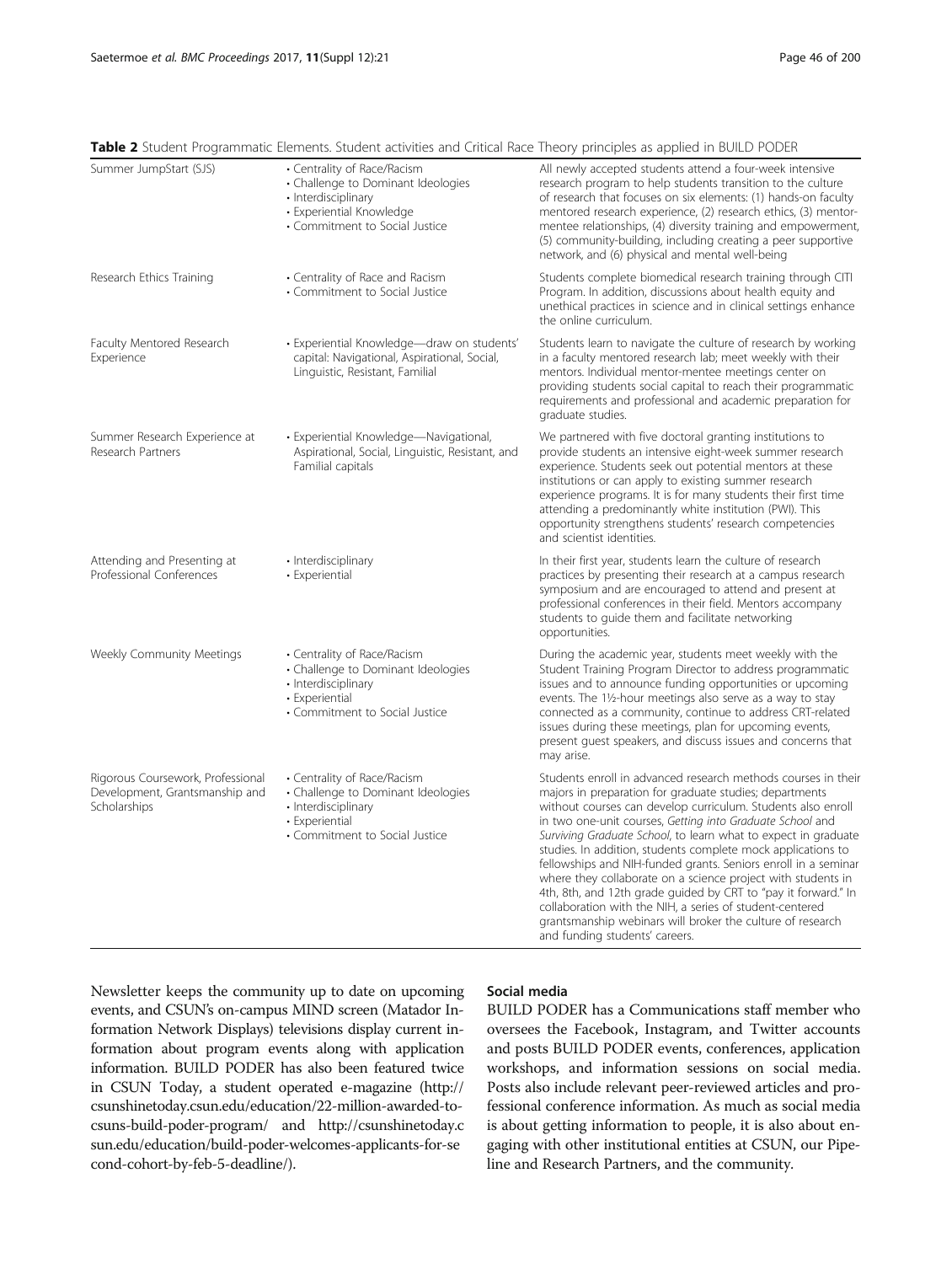| $-$ station is a sequent in that is                                                 |                                                                                                                                                        |                                                                                                                                                                                                                                                                                                                                                                                                                                                                                                                                                                                                                                                                                                                                                         |
|-------------------------------------------------------------------------------------|--------------------------------------------------------------------------------------------------------------------------------------------------------|---------------------------------------------------------------------------------------------------------------------------------------------------------------------------------------------------------------------------------------------------------------------------------------------------------------------------------------------------------------------------------------------------------------------------------------------------------------------------------------------------------------------------------------------------------------------------------------------------------------------------------------------------------------------------------------------------------------------------------------------------------|
| Summer JumpStart (SJS)                                                              | • Centrality of Race/Racism<br>• Challenge to Dominant Ideologies<br>• Interdisciplinary<br>• Experiential Knowledge<br>• Commitment to Social Justice | All newly accepted students attend a four-week intensive<br>research program to help students transition to the culture<br>of research that focuses on six elements: (1) hands-on faculty<br>mentored research experience, (2) research ethics, (3) mentor-<br>mentee relationships, (4) diversity training and empowerment,<br>(5) community-building, including creating a peer supportive<br>network, and (6) physical and mental well-being                                                                                                                                                                                                                                                                                                         |
| Research Ethics Training                                                            | • Centrality of Race and Racism<br>• Commitment to Social Justice                                                                                      | Students complete biomedical research training through CITI<br>Program. In addition, discussions about health equity and<br>unethical practices in science and in clinical settings enhance<br>the online curriculum.                                                                                                                                                                                                                                                                                                                                                                                                                                                                                                                                   |
| Faculty Mentored Research<br>Experience                                             | · Experiential Knowledge-draw on students'<br>capital: Navigational, Aspirational, Social,<br>Linguistic, Resistant, Familial                          | Students learn to navigate the culture of research by working<br>in a faculty mentored research lab; meet weekly with their<br>mentors. Individual mentor-mentee meetings center on<br>providing students social capital to reach their programmatic<br>requirements and professional and academic preparation for<br>graduate studies.                                                                                                                                                                                                                                                                                                                                                                                                                 |
| Summer Research Experience at<br>Research Partners                                  | · Experiential Knowledge-Navigational,<br>Aspirational, Social, Linguistic, Resistant, and<br>Familial capitals                                        | We partnered with five doctoral granting institutions to<br>provide students an intensive eight-week summer research<br>experience. Students seek out potential mentors at these<br>institutions or can apply to existing summer research<br>experience programs. It is for many students their first time<br>attending a predominantly white institution (PWI). This<br>opportunity strengthens students' research competencies<br>and scientist identities.                                                                                                                                                                                                                                                                                           |
| Attending and Presenting at<br>Professional Conferences                             | • Interdisciplinary<br>· Experiential                                                                                                                  | In their first year, students learn the culture of research<br>practices by presenting their research at a campus research<br>symposium and are encouraged to attend and present at<br>professional conferences in their field. Mentors accompany<br>students to guide them and facilitate networking<br>opportunities.                                                                                                                                                                                                                                                                                                                                                                                                                                 |
| Weekly Community Meetings                                                           | • Centrality of Race/Racism<br>• Challenge to Dominant Ideologies<br>· Interdisciplinary<br>• Experiential<br>• Commitment to Social Justice           | During the academic year, students meet weekly with the<br>Student Training Program Director to address programmatic<br>issues and to announce funding opportunities or upcoming<br>events. The 11/2-hour meetings also serve as a way to stay<br>connected as a community, continue to address CRT-related<br>issues during these meetings, plan for upcoming events,<br>present quest speakers, and discuss issues and concerns that<br>may arise.                                                                                                                                                                                                                                                                                                    |
| Rigorous Coursework, Professional<br>Development, Grantsmanship and<br>Scholarships | • Centrality of Race/Racism<br>• Challenge to Dominant Ideologies<br>• Interdisciplinary<br>• Experiential<br>• Commitment to Social Justice           | Students enroll in advanced research methods courses in their<br>majors in preparation for graduate studies; departments<br>without courses can develop curriculum. Students also enroll<br>in two one-unit courses, Getting into Graduate School and<br>Surviving Graduate School, to learn what to expect in graduate<br>studies. In addition, students complete mock applications to<br>fellowships and NIH-funded grants. Seniors enroll in a seminar<br>where they collaborate on a science project with students in<br>4th, 8th, and 12th grade guided by CRT to "pay it forward." In<br>collaboration with the NIH, a series of student-centered<br>grantsmanship webinars will broker the culture of research<br>and funding students' careers. |

<span id="page-5-0"></span>Table 2 Student Programmatic Elements. Student activities and Critical Race Theory principles as applied in BUILD PODER

Newsletter keeps the community up to date on upcoming events, and CSUN's on-campus MIND screen (Matador Information Network Displays) televisions display current information about program events along with application information. BUILD PODER has also been featured twice in CSUN Today, a student operated e-magazine [\(http://](http://csunshinetoday.csun.edu/education/22-million-awarded-to-csuns-build-poder-program) [csunshinetoday.csun.edu/education/22-million-awarded-to](http://csunshinetoday.csun.edu/education/22-million-awarded-to-csuns-build-poder-program)[csuns-build-poder-program/](http://csunshinetoday.csun.edu/education/22-million-awarded-to-csuns-build-poder-program) and [http://csunshinetoday.c](http://csunshinetoday.csun.edu/education/build-poder-welcomes-applicants-for-second-cohort-by-feb-5-deadline) [sun.edu/education/build-poder-welcomes-applicants-for-se](http://csunshinetoday.csun.edu/education/build-poder-welcomes-applicants-for-second-cohort-by-feb-5-deadline) [cond-cohort-by-feb-5-deadline/](http://csunshinetoday.csun.edu/education/build-poder-welcomes-applicants-for-second-cohort-by-feb-5-deadline)).

#### Social media

BUILD PODER has a Communications staff member who oversees the Facebook, Instagram, and Twitter accounts and posts BUILD PODER events, conferences, application workshops, and information sessions on social media. Posts also include relevant peer-reviewed articles and professional conference information. As much as social media is about getting information to people, it is also about engaging with other institutional entities at CSUN, our Pipeline and Research Partners, and the community.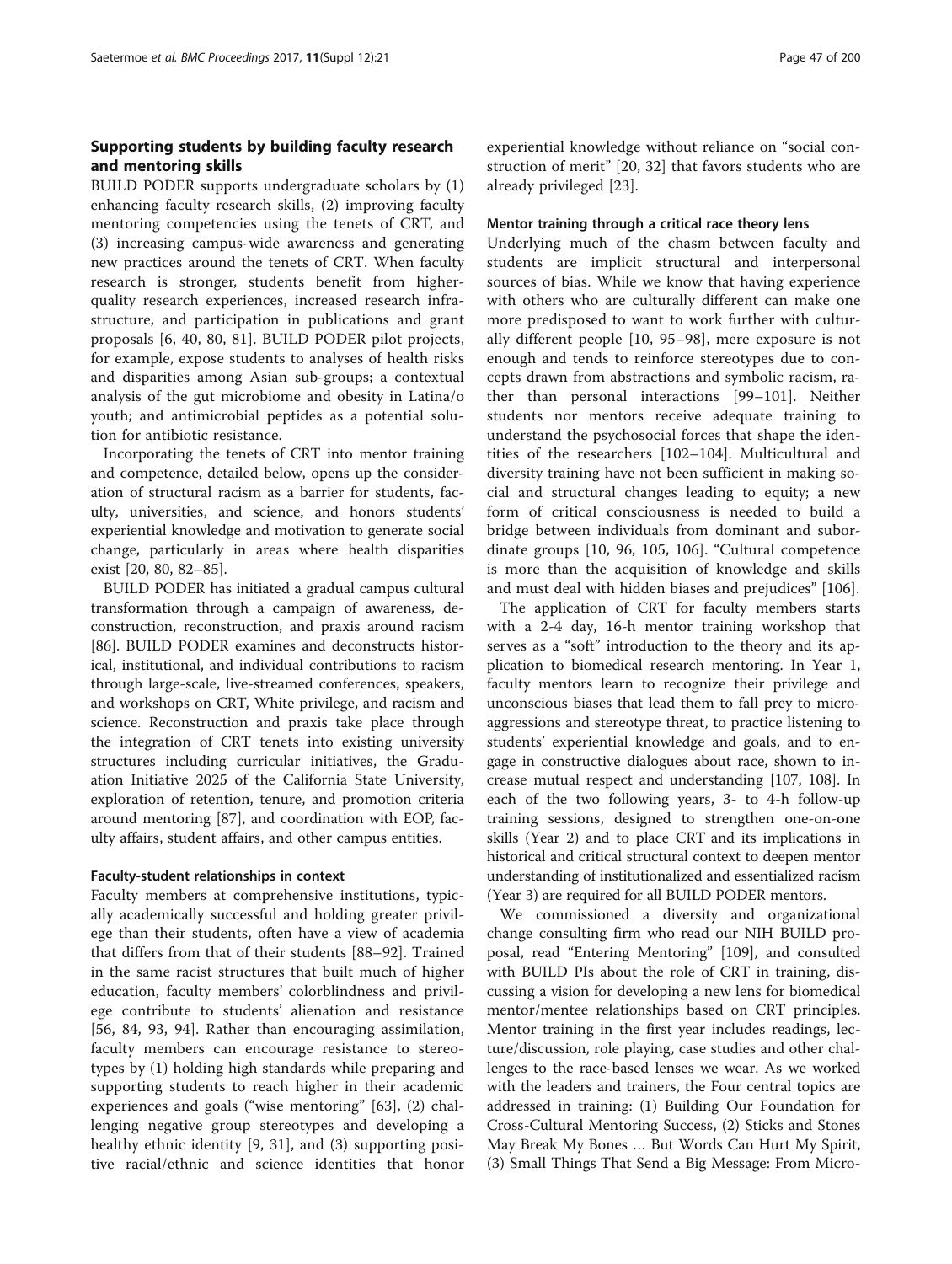## Supporting students by building faculty research and mentoring skills

BUILD PODER supports undergraduate scholars by (1) enhancing faculty research skills, (2) improving faculty mentoring competencies using the tenets of CRT, and (3) increasing campus-wide awareness and generating new practices around the tenets of CRT. When faculty research is stronger, students benefit from higherquality research experiences, increased research infrastructure, and participation in publications and grant proposals [[6](#page-12-0), [40,](#page-12-0) [80](#page-13-0), [81](#page-13-0)]. BUILD PODER pilot projects, for example, expose students to analyses of health risks and disparities among Asian sub-groups; a contextual analysis of the gut microbiome and obesity in Latina/o youth; and antimicrobial peptides as a potential solution for antibiotic resistance.

Incorporating the tenets of CRT into mentor training and competence, detailed below, opens up the consideration of structural racism as a barrier for students, faculty, universities, and science, and honors students' experiential knowledge and motivation to generate social change, particularly in areas where health disparities exist [[20](#page-12-0), [80](#page-13-0), [82](#page-13-0)–[85\]](#page-13-0).

BUILD PODER has initiated a gradual campus cultural transformation through a campaign of awareness, deconstruction, reconstruction, and praxis around racism [[86\]](#page-13-0). BUILD PODER examines and deconstructs historical, institutional, and individual contributions to racism through large-scale, live-streamed conferences, speakers, and workshops on CRT, White privilege, and racism and science. Reconstruction and praxis take place through the integration of CRT tenets into existing university structures including curricular initiatives, the Graduation Initiative 2025 of the California State University, exploration of retention, tenure, and promotion criteria around mentoring [[87](#page-13-0)], and coordination with EOP, faculty affairs, student affairs, and other campus entities.

#### Faculty-student relationships in context

Faculty members at comprehensive institutions, typically academically successful and holding greater privilege than their students, often have a view of academia that differs from that of their students [\[88](#page-13-0)–[92](#page-13-0)]. Trained in the same racist structures that built much of higher education, faculty members' colorblindness and privilege contribute to students' alienation and resistance [[56, 84](#page-13-0), [93, 94](#page-13-0)]. Rather than encouraging assimilation, faculty members can encourage resistance to stereotypes by (1) holding high standards while preparing and supporting students to reach higher in their academic experiences and goals ("wise mentoring" [\[63](#page-13-0)], (2) challenging negative group stereotypes and developing a healthy ethnic identity [[9, 31\]](#page-12-0), and (3) supporting positive racial/ethnic and science identities that honor

experiential knowledge without reliance on "social construction of merit" [[20, 32\]](#page-12-0) that favors students who are already privileged [\[23](#page-12-0)].

#### Mentor training through a critical race theory lens

Underlying much of the chasm between faculty and students are implicit structural and interpersonal sources of bias. While we know that having experience with others who are culturally different can make one more predisposed to want to work further with culturally different people [[10,](#page-12-0) [95](#page-13-0)–[98\]](#page-13-0), mere exposure is not enough and tends to reinforce stereotypes due to concepts drawn from abstractions and symbolic racism, rather than personal interactions [[99](#page-13-0)–[101](#page-13-0)]. Neither students nor mentors receive adequate training to understand the psychosocial forces that shape the identities of the researchers [[102](#page-13-0)–[104\]](#page-13-0). Multicultural and diversity training have not been sufficient in making social and structural changes leading to equity; a new form of critical consciousness is needed to build a bridge between individuals from dominant and subordinate groups [[10,](#page-12-0) [96, 105, 106\]](#page-13-0). "Cultural competence is more than the acquisition of knowledge and skills and must deal with hidden biases and prejudices" [\[106](#page-13-0)].

The application of CRT for faculty members starts with a 2-4 day, 16-h mentor training workshop that serves as a "soft" introduction to the theory and its application to biomedical research mentoring. In Year 1, faculty mentors learn to recognize their privilege and unconscious biases that lead them to fall prey to microaggressions and stereotype threat, to practice listening to students' experiential knowledge and goals, and to engage in constructive dialogues about race, shown to increase mutual respect and understanding [[107, 108\]](#page-13-0). In each of the two following years, 3- to 4-h follow-up training sessions, designed to strengthen one-on-one skills (Year 2) and to place CRT and its implications in historical and critical structural context to deepen mentor understanding of institutionalized and essentialized racism (Year 3) are required for all BUILD PODER mentors.

We commissioned a diversity and organizational change consulting firm who read our NIH BUILD proposal, read "Entering Mentoring" [\[109\]](#page-13-0), and consulted with BUILD PIs about the role of CRT in training, discussing a vision for developing a new lens for biomedical mentor/mentee relationships based on CRT principles. Mentor training in the first year includes readings, lecture/discussion, role playing, case studies and other challenges to the race-based lenses we wear. As we worked with the leaders and trainers, the Four central topics are addressed in training: (1) Building Our Foundation for Cross-Cultural Mentoring Success, (2) Sticks and Stones May Break My Bones … But Words Can Hurt My Spirit, (3) Small Things That Send a Big Message: From Micro-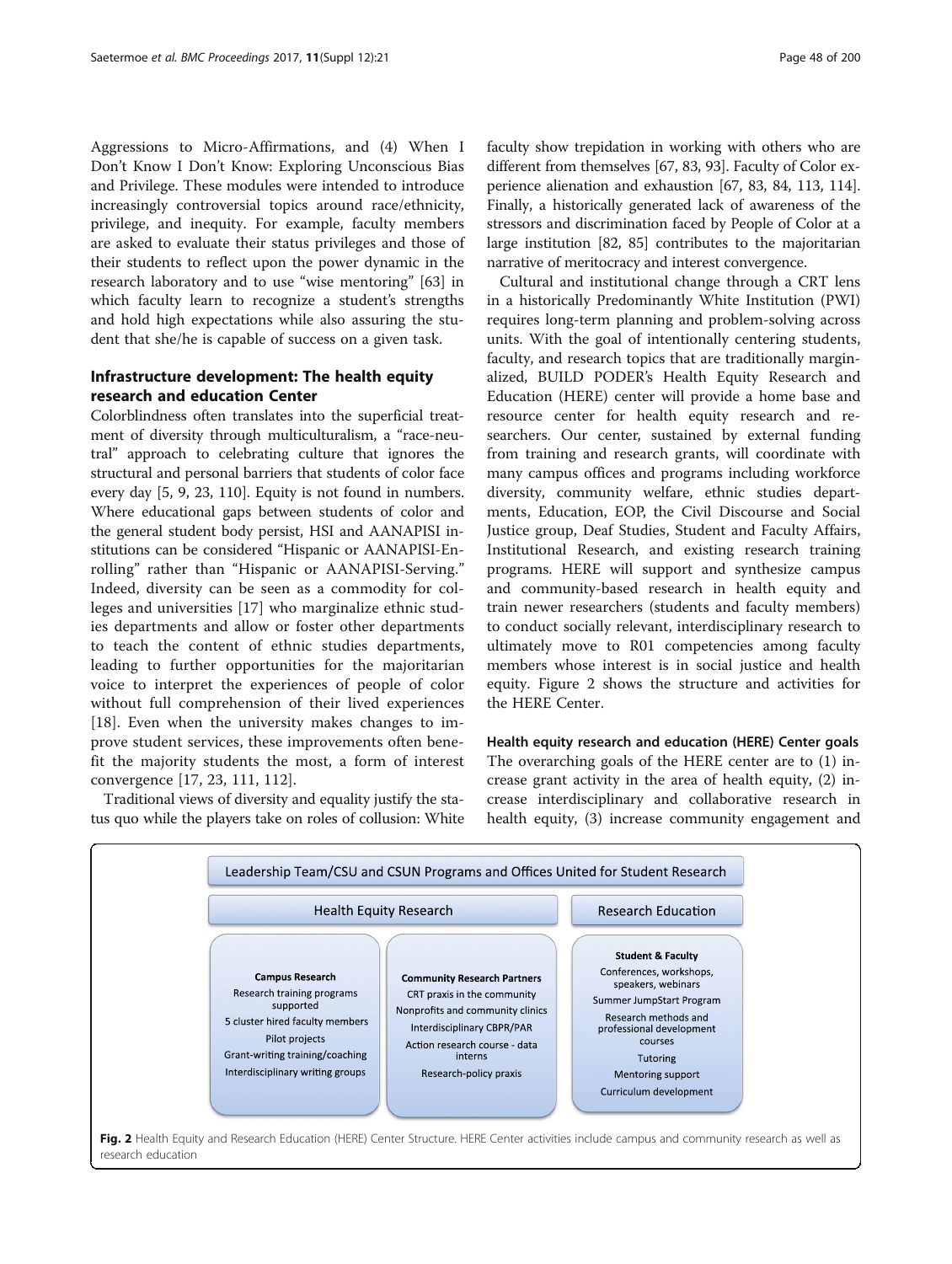<span id="page-7-0"></span>Aggressions to Micro-Affirmations, and (4) When I Don't Know I Don't Know: Exploring Unconscious Bias and Privilege. These modules were intended to introduce increasingly controversial topics around race/ethnicity, privilege, and inequity. For example, faculty members are asked to evaluate their status privileges and those of their students to reflect upon the power dynamic in the research laboratory and to use "wise mentoring" [[63\]](#page-13-0) in which faculty learn to recognize a student's strengths and hold high expectations while also assuring the student that she/he is capable of success on a given task.

### Infrastructure development: The health equity research and education Center

Colorblindness often translates into the superficial treatment of diversity through multiculturalism, a "race-neutral" approach to celebrating culture that ignores the structural and personal barriers that students of color face every day [\[5](#page-12-0), [9](#page-12-0), [23](#page-12-0), [110](#page-14-0)]. Equity is not found in numbers. Where educational gaps between students of color and the general student body persist, HSI and AANAPISI institutions can be considered "Hispanic or AANAPISI-Enrolling" rather than "Hispanic or AANAPISI-Serving." Indeed, diversity can be seen as a commodity for colleges and universities [[17\]](#page-12-0) who marginalize ethnic studies departments and allow or foster other departments to teach the content of ethnic studies departments, leading to further opportunities for the majoritarian voice to interpret the experiences of people of color without full comprehension of their lived experiences [[18\]](#page-12-0). Even when the university makes changes to improve student services, these improvements often benefit the majority students the most, a form of interest convergence [[17, 23,](#page-12-0) [111, 112](#page-14-0)].

Traditional views of diversity and equality justify the status quo while the players take on roles of collusion: White

faculty show trepidation in working with others who are different from themselves [[67](#page-13-0), [83, 93](#page-13-0)]. Faculty of Color experience alienation and exhaustion [\[67, 83, 84](#page-13-0), [113](#page-14-0), [114](#page-14-0)]. Finally, a historically generated lack of awareness of the stressors and discrimination faced by People of Color at a large institution [\[82, 85\]](#page-13-0) contributes to the majoritarian narrative of meritocracy and interest convergence.

Cultural and institutional change through a CRT lens in a historically Predominantly White Institution (PWI) requires long-term planning and problem-solving across units. With the goal of intentionally centering students, faculty, and research topics that are traditionally marginalized, BUILD PODER's Health Equity Research and Education (HERE) center will provide a home base and resource center for health equity research and researchers. Our center, sustained by external funding from training and research grants, will coordinate with many campus offices and programs including workforce diversity, community welfare, ethnic studies departments, Education, EOP, the Civil Discourse and Social Justice group, Deaf Studies, Student and Faculty Affairs, Institutional Research, and existing research training programs. HERE will support and synthesize campus and community-based research in health equity and train newer researchers (students and faculty members) to conduct socially relevant, interdisciplinary research to ultimately move to R01 competencies among faculty members whose interest is in social justice and health equity. Figure 2 shows the structure and activities for the HERE Center.

Health equity research and education (HERE) Center goals The overarching goals of the HERE center are to (1) increase grant activity in the area of health equity, (2) increase interdisciplinary and collaborative research in health equity, (3) increase community engagement and

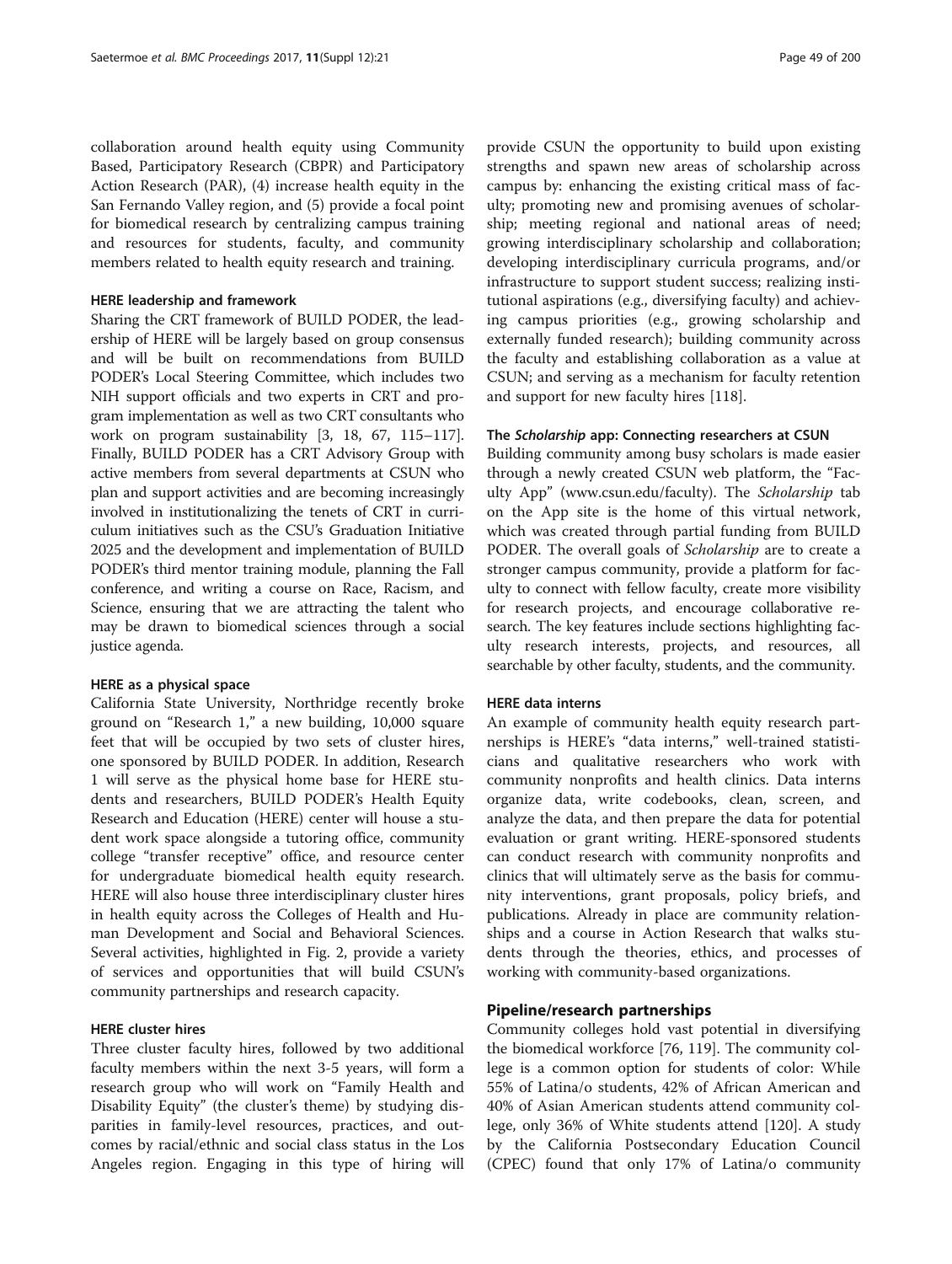collaboration around health equity using Community Based, Participatory Research (CBPR) and Participatory Action Research (PAR), (4) increase health equity in the San Fernando Valley region, and (5) provide a focal point for biomedical research by centralizing campus training and resources for students, faculty, and community members related to health equity research and training.

#### HERE leadership and framework

Sharing the CRT framework of BUILD PODER, the leadership of HERE will be largely based on group consensus and will be built on recommendations from BUILD PODER's Local Steering Committee, which includes two NIH support officials and two experts in CRT and program implementation as well as two CRT consultants who work on program sustainability [[3](#page-12-0), [18](#page-12-0), [67](#page-13-0), [115](#page-14-0)–[117](#page-14-0)]. Finally, BUILD PODER has a CRT Advisory Group with active members from several departments at CSUN who plan and support activities and are becoming increasingly involved in institutionalizing the tenets of CRT in curriculum initiatives such as the CSU's Graduation Initiative 2025 and the development and implementation of BUILD PODER's third mentor training module, planning the Fall conference, and writing a course on Race, Racism, and Science, ensuring that we are attracting the talent who may be drawn to biomedical sciences through a social justice agenda.

#### HERE as a physical space

California State University, Northridge recently broke ground on "Research 1," a new building, 10,000 square feet that will be occupied by two sets of cluster hires, one sponsored by BUILD PODER. In addition, Research 1 will serve as the physical home base for HERE students and researchers, BUILD PODER's Health Equity Research and Education (HERE) center will house a student work space alongside a tutoring office, community college "transfer receptive" office, and resource center for undergraduate biomedical health equity research. HERE will also house three interdisciplinary cluster hires in health equity across the Colleges of Health and Human Development and Social and Behavioral Sciences. Several activities, highlighted in Fig. [2](#page-7-0), provide a variety of services and opportunities that will build CSUN's community partnerships and research capacity.

#### HERE cluster hires

Three cluster faculty hires, followed by two additional faculty members within the next 3-5 years, will form a research group who will work on "Family Health and Disability Equity" (the cluster's theme) by studying disparities in family-level resources, practices, and outcomes by racial/ethnic and social class status in the Los Angeles region. Engaging in this type of hiring will provide CSUN the opportunity to build upon existing strengths and spawn new areas of scholarship across campus by: enhancing the existing critical mass of faculty; promoting new and promising avenues of scholarship; meeting regional and national areas of need; growing interdisciplinary scholarship and collaboration; developing interdisciplinary curricula programs, and/or infrastructure to support student success; realizing institutional aspirations (e.g., diversifying faculty) and achieving campus priorities (e.g., growing scholarship and externally funded research); building community across the faculty and establishing collaboration as a value at CSUN; and serving as a mechanism for faculty retention and support for new faculty hires [\[118\]](#page-14-0).

#### The Scholarship app: Connecting researchers at CSUN

Building community among busy scholars is made easier through a newly created CSUN web platform, the "Faculty App" ([www.csun.edu/faculty](http://www.csun.edu/faculty)). The Scholarship tab on the App site is the home of this virtual network, which was created through partial funding from BUILD PODER. The overall goals of *Scholarship* are to create a stronger campus community, provide a platform for faculty to connect with fellow faculty, create more visibility for research projects, and encourage collaborative research. The key features include sections highlighting faculty research interests, projects, and resources, all searchable by other faculty, students, and the community.

#### HERE data interns

An example of community health equity research partnerships is HERE's "data interns," well-trained statisticians and qualitative researchers who work with community nonprofits and health clinics. Data interns organize data, write codebooks, clean, screen, and analyze the data, and then prepare the data for potential evaluation or grant writing. HERE-sponsored students can conduct research with community nonprofits and clinics that will ultimately serve as the basis for community interventions, grant proposals, policy briefs, and publications. Already in place are community relationships and a course in Action Research that walks students through the theories, ethics, and processes of working with community-based organizations.

#### Pipeline/research partnerships

Community colleges hold vast potential in diversifying the biomedical workforce [[76](#page-13-0), [119](#page-14-0)]. The community college is a common option for students of color: While 55% of Latina/o students, 42% of African American and 40% of Asian American students attend community college, only 36% of White students attend [[120](#page-14-0)]. A study by the California Postsecondary Education Council (CPEC) found that only 17% of Latina/o community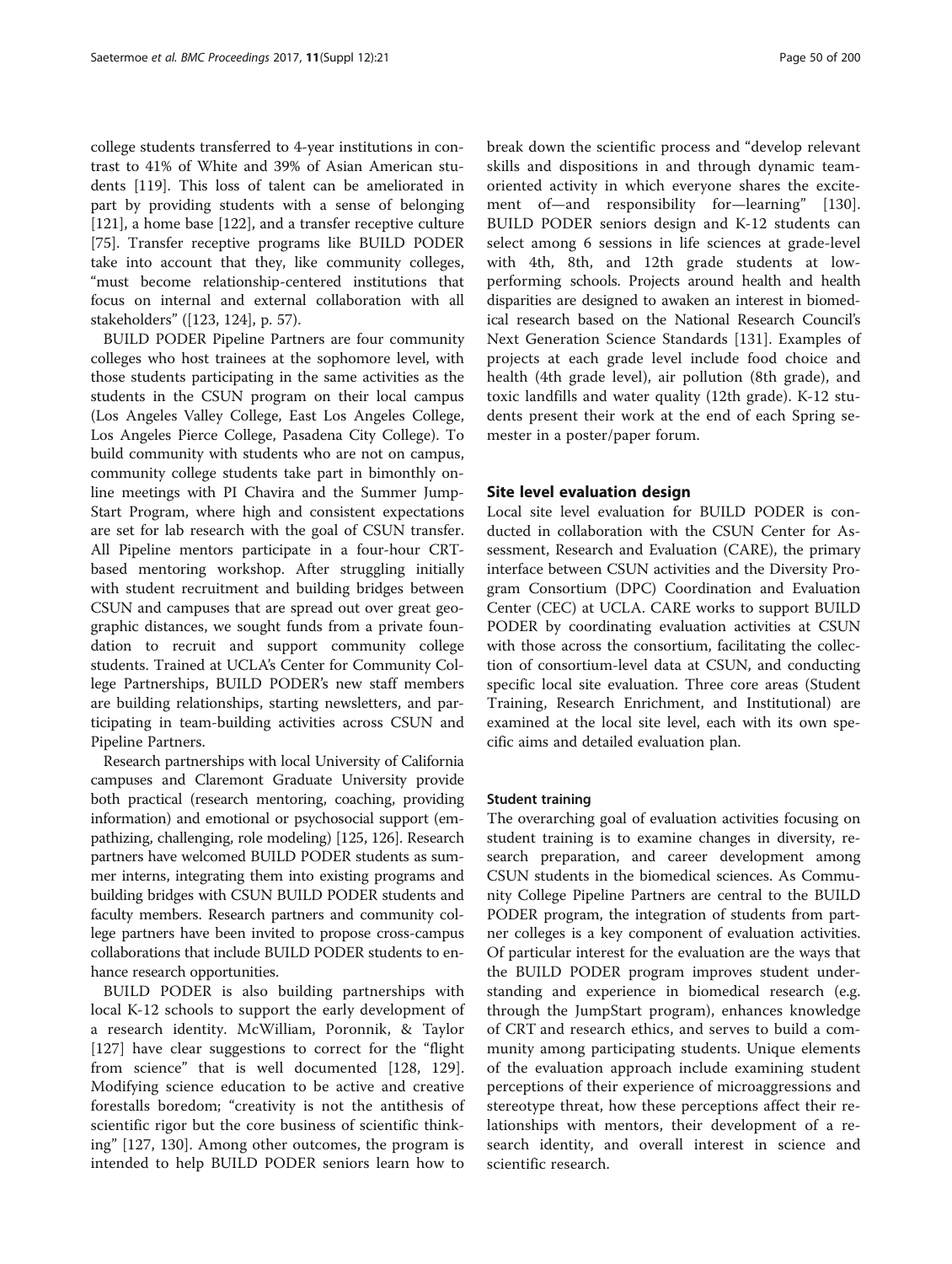college students transferred to 4-year institutions in contrast to 41% of White and 39% of Asian American students [[119\]](#page-14-0). This loss of talent can be ameliorated in part by providing students with a sense of belonging [[121\]](#page-14-0), a home base [[122](#page-14-0)], and a transfer receptive culture [[75\]](#page-13-0). Transfer receptive programs like BUILD PODER take into account that they, like community colleges, "must become relationship-centered institutions that focus on internal and external collaboration with all stakeholders" ([\[123](#page-14-0), [124\]](#page-14-0), p. 57).

BUILD PODER Pipeline Partners are four community colleges who host trainees at the sophomore level, with those students participating in the same activities as the students in the CSUN program on their local campus (Los Angeles Valley College, East Los Angeles College, Los Angeles Pierce College, Pasadena City College). To build community with students who are not on campus, community college students take part in bimonthly online meetings with PI Chavira and the Summer Jump-Start Program, where high and consistent expectations are set for lab research with the goal of CSUN transfer. All Pipeline mentors participate in a four-hour CRTbased mentoring workshop. After struggling initially with student recruitment and building bridges between CSUN and campuses that are spread out over great geographic distances, we sought funds from a private foundation to recruit and support community college students. Trained at UCLA's Center for Community College Partnerships, BUILD PODER's new staff members are building relationships, starting newsletters, and participating in team-building activities across CSUN and Pipeline Partners.

Research partnerships with local University of California campuses and Claremont Graduate University provide both practical (research mentoring, coaching, providing information) and emotional or psychosocial support (empathizing, challenging, role modeling) [\[125, 126](#page-14-0)]. Research partners have welcomed BUILD PODER students as summer interns, integrating them into existing programs and building bridges with CSUN BUILD PODER students and faculty members. Research partners and community college partners have been invited to propose cross-campus collaborations that include BUILD PODER students to enhance research opportunities.

BUILD PODER is also building partnerships with local K-12 schools to support the early development of a research identity. McWilliam, Poronnik, & Taylor [[127\]](#page-14-0) have clear suggestions to correct for the "flight" from science" that is well documented [[128](#page-14-0), [129](#page-14-0)]. Modifying science education to be active and creative forestalls boredom; "creativity is not the antithesis of scientific rigor but the core business of scientific thinking" [[127, 130](#page-14-0)]. Among other outcomes, the program is intended to help BUILD PODER seniors learn how to break down the scientific process and "develop relevant skills and dispositions in and through dynamic teamoriented activity in which everyone shares the excitement of—and responsibility for—learning" [\[130](#page-14-0)]. BUILD PODER seniors design and K-12 students can select among 6 sessions in life sciences at grade-level with 4th, 8th, and 12th grade students at lowperforming schools. Projects around health and health disparities are designed to awaken an interest in biomedical research based on the National Research Council's Next Generation Science Standards [[131\]](#page-14-0). Examples of projects at each grade level include food choice and health (4th grade level), air pollution (8th grade), and toxic landfills and water quality (12th grade). K-12 students present their work at the end of each Spring semester in a poster/paper forum.

#### Site level evaluation design

Local site level evaluation for BUILD PODER is conducted in collaboration with the CSUN Center for Assessment, Research and Evaluation (CARE), the primary interface between CSUN activities and the Diversity Program Consortium (DPC) Coordination and Evaluation Center (CEC) at UCLA. CARE works to support BUILD PODER by coordinating evaluation activities at CSUN with those across the consortium, facilitating the collection of consortium-level data at CSUN, and conducting specific local site evaluation. Three core areas (Student Training, Research Enrichment, and Institutional) are examined at the local site level, each with its own specific aims and detailed evaluation plan.

#### Student training

The overarching goal of evaluation activities focusing on student training is to examine changes in diversity, research preparation, and career development among CSUN students in the biomedical sciences. As Community College Pipeline Partners are central to the BUILD PODER program, the integration of students from partner colleges is a key component of evaluation activities. Of particular interest for the evaluation are the ways that the BUILD PODER program improves student understanding and experience in biomedical research (e.g. through the JumpStart program), enhances knowledge of CRT and research ethics, and serves to build a community among participating students. Unique elements of the evaluation approach include examining student perceptions of their experience of microaggressions and stereotype threat, how these perceptions affect their relationships with mentors, their development of a research identity, and overall interest in science and scientific research.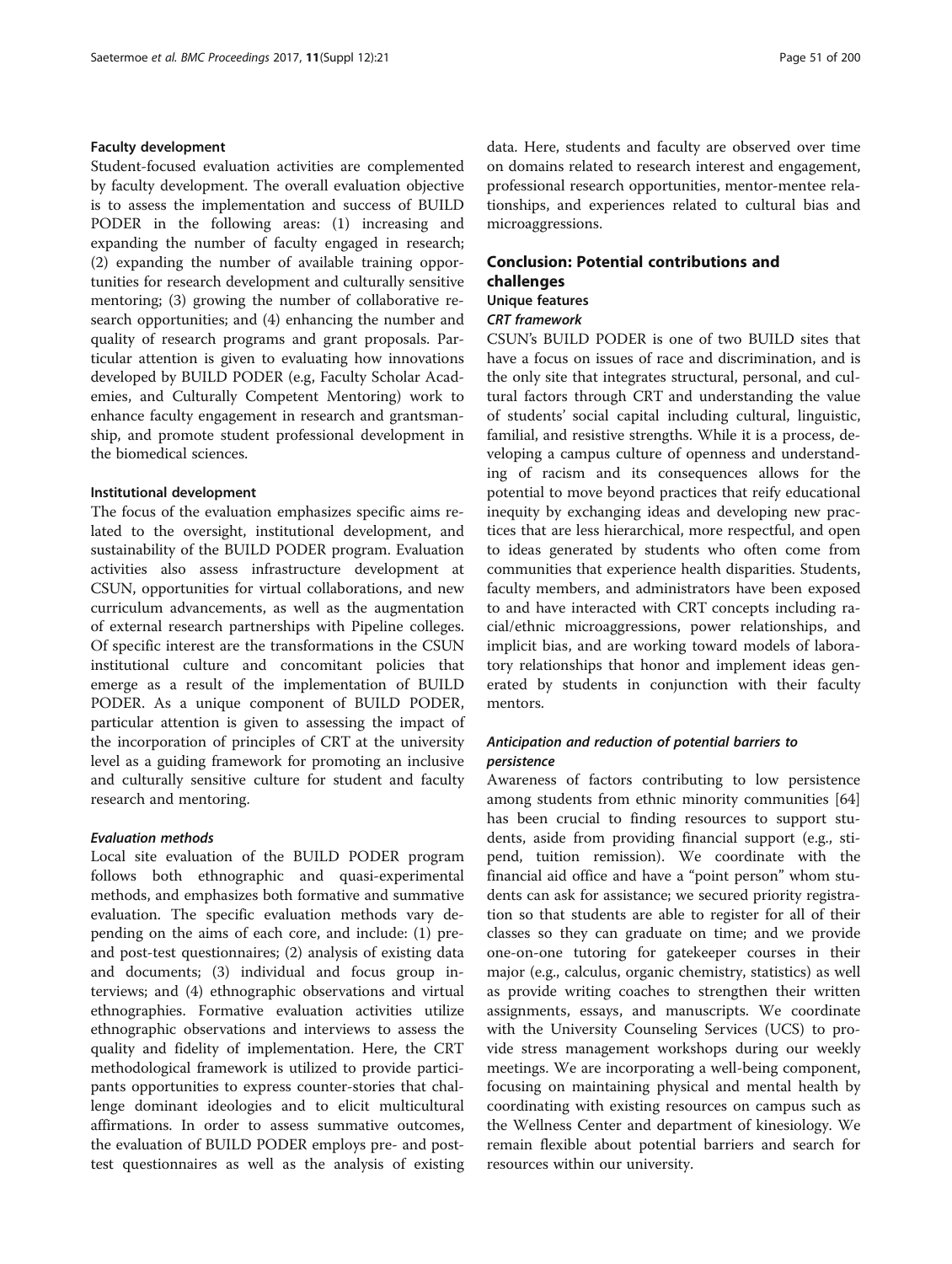#### Faculty development

Student-focused evaluation activities are complemented by faculty development. The overall evaluation objective is to assess the implementation and success of BUILD PODER in the following areas: (1) increasing and expanding the number of faculty engaged in research; (2) expanding the number of available training opportunities for research development and culturally sensitive mentoring; (3) growing the number of collaborative research opportunities; and (4) enhancing the number and quality of research programs and grant proposals. Particular attention is given to evaluating how innovations developed by BUILD PODER (e.g, Faculty Scholar Academies, and Culturally Competent Mentoring) work to enhance faculty engagement in research and grantsmanship, and promote student professional development in the biomedical sciences.

#### Institutional development

The focus of the evaluation emphasizes specific aims related to the oversight, institutional development, and sustainability of the BUILD PODER program. Evaluation activities also assess infrastructure development at CSUN, opportunities for virtual collaborations, and new curriculum advancements, as well as the augmentation of external research partnerships with Pipeline colleges. Of specific interest are the transformations in the CSUN institutional culture and concomitant policies that emerge as a result of the implementation of BUILD PODER. As a unique component of BUILD PODER, particular attention is given to assessing the impact of the incorporation of principles of CRT at the university level as a guiding framework for promoting an inclusive and culturally sensitive culture for student and faculty research and mentoring.

#### Evaluation methods

Local site evaluation of the BUILD PODER program follows both ethnographic and quasi-experimental methods, and emphasizes both formative and summative evaluation. The specific evaluation methods vary depending on the aims of each core, and include: (1) preand post-test questionnaires; (2) analysis of existing data and documents; (3) individual and focus group interviews; and (4) ethnographic observations and virtual ethnographies. Formative evaluation activities utilize ethnographic observations and interviews to assess the quality and fidelity of implementation. Here, the CRT methodological framework is utilized to provide participants opportunities to express counter-stories that challenge dominant ideologies and to elicit multicultural affirmations. In order to assess summative outcomes, the evaluation of BUILD PODER employs pre- and posttest questionnaires as well as the analysis of existing data. Here, students and faculty are observed over time on domains related to research interest and engagement, professional research opportunities, mentor-mentee relationships, and experiences related to cultural bias and microaggressions.

#### Conclusion: Potential contributions and challenges Unique features

### CRT framework

CSUN's BUILD PODER is one of two BUILD sites that have a focus on issues of race and discrimination, and is the only site that integrates structural, personal, and cultural factors through CRT and understanding the value of students' social capital including cultural, linguistic, familial, and resistive strengths. While it is a process, developing a campus culture of openness and understanding of racism and its consequences allows for the potential to move beyond practices that reify educational inequity by exchanging ideas and developing new practices that are less hierarchical, more respectful, and open to ideas generated by students who often come from communities that experience health disparities. Students, faculty members, and administrators have been exposed to and have interacted with CRT concepts including racial/ethnic microaggressions, power relationships, and implicit bias, and are working toward models of laboratory relationships that honor and implement ideas generated by students in conjunction with their faculty mentors.

#### Anticipation and reduction of potential barriers to persistence

Awareness of factors contributing to low persistence among students from ethnic minority communities [[64](#page-13-0)] has been crucial to finding resources to support students, aside from providing financial support (e.g., stipend, tuition remission). We coordinate with the financial aid office and have a "point person" whom students can ask for assistance; we secured priority registration so that students are able to register for all of their classes so they can graduate on time; and we provide one-on-one tutoring for gatekeeper courses in their major (e.g., calculus, organic chemistry, statistics) as well as provide writing coaches to strengthen their written assignments, essays, and manuscripts. We coordinate with the University Counseling Services (UCS) to provide stress management workshops during our weekly meetings. We are incorporating a well-being component, focusing on maintaining physical and mental health by coordinating with existing resources on campus such as the Wellness Center and department of kinesiology. We remain flexible about potential barriers and search for resources within our university.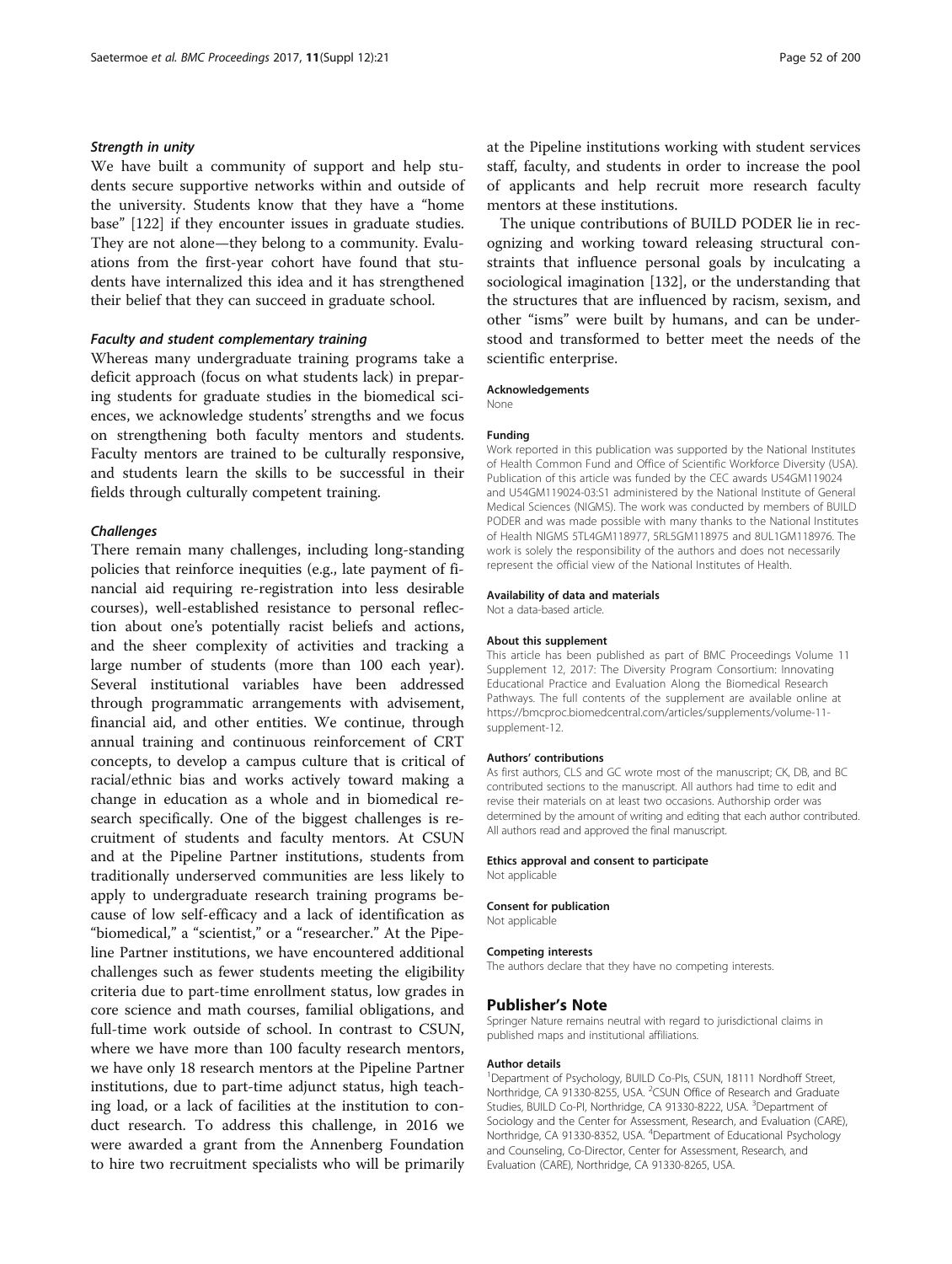#### Strength in unity

We have built a community of support and help students secure supportive networks within and outside of the university. Students know that they have a "home base" [[122\]](#page-14-0) if they encounter issues in graduate studies. They are not alone—they belong to a community. Evaluations from the first-year cohort have found that students have internalized this idea and it has strengthened their belief that they can succeed in graduate school.

#### Faculty and student complementary training

Whereas many undergraduate training programs take a deficit approach (focus on what students lack) in preparing students for graduate studies in the biomedical sciences, we acknowledge students' strengths and we focus on strengthening both faculty mentors and students. Faculty mentors are trained to be culturally responsive, and students learn the skills to be successful in their fields through culturally competent training.

#### **Challenges**

There remain many challenges, including long-standing policies that reinforce inequities (e.g., late payment of financial aid requiring re-registration into less desirable courses), well-established resistance to personal reflection about one's potentially racist beliefs and actions, and the sheer complexity of activities and tracking a large number of students (more than 100 each year). Several institutional variables have been addressed through programmatic arrangements with advisement, financial aid, and other entities. We continue, through annual training and continuous reinforcement of CRT concepts, to develop a campus culture that is critical of racial/ethnic bias and works actively toward making a change in education as a whole and in biomedical research specifically. One of the biggest challenges is recruitment of students and faculty mentors. At CSUN and at the Pipeline Partner institutions, students from traditionally underserved communities are less likely to apply to undergraduate research training programs because of low self-efficacy and a lack of identification as "biomedical," a "scientist," or a "researcher." At the Pipeline Partner institutions, we have encountered additional challenges such as fewer students meeting the eligibility criteria due to part-time enrollment status, low grades in core science and math courses, familial obligations, and full-time work outside of school. In contrast to CSUN, where we have more than 100 faculty research mentors, we have only 18 research mentors at the Pipeline Partner institutions, due to part-time adjunct status, high teaching load, or a lack of facilities at the institution to conduct research. To address this challenge, in 2016 we were awarded a grant from the Annenberg Foundation to hire two recruitment specialists who will be primarily

at the Pipeline institutions working with student services staff, faculty, and students in order to increase the pool of applicants and help recruit more research faculty mentors at these institutions.

The unique contributions of BUILD PODER lie in recognizing and working toward releasing structural constraints that influence personal goals by inculcating a sociological imagination [[132\]](#page-14-0), or the understanding that the structures that are influenced by racism, sexism, and other "isms" were built by humans, and can be understood and transformed to better meet the needs of the scientific enterprise.

#### Acknowledgements

None

#### Funding

Work reported in this publication was supported by the National Institutes of Health Common Fund and Office of Scientific Workforce Diversity (USA). Publication of this article was funded by the CEC awards U54GM119024 and U54GM119024-03:S1 administered by the National Institute of General Medical Sciences (NIGMS). The work was conducted by members of BUILD PODER and was made possible with many thanks to the National Institutes of Health NIGMS 5TL4GM118977, 5RL5GM118975 and 8UL1GM118976. The work is solely the responsibility of the authors and does not necessarily represent the official view of the National Institutes of Health.

#### Availability of data and materials

Not a data-based article.

#### About this supplement

This article has been published as part of BMC Proceedings Volume 11 Supplement 12, 2017: The Diversity Program Consortium: Innovating Educational Practice and Evaluation Along the Biomedical Research Pathways. The full contents of the supplement are available online at [https://bmcproc.biomedcentral.com/articles/supplements/volume-11](https://bmcproc.biomedcentral.com/articles/supplements/volume-11-supplement-12) [supplement-12](https://bmcproc.biomedcentral.com/articles/supplements/volume-11-supplement-12).

#### Authors' contributions

As first authors, CLS and GC wrote most of the manuscript; CK, DB, and BC contributed sections to the manuscript. All authors had time to edit and revise their materials on at least two occasions. Authorship order was determined by the amount of writing and editing that each author contributed. All authors read and approved the final manuscript.

#### Ethics approval and consent to participate

Not applicable

#### Consent for publication

Not applicable

#### Competing interests

The authors declare that they have no competing interests.

#### Publisher's Note

Springer Nature remains neutral with regard to jurisdictional claims in published maps and institutional affiliations.

#### Author details

<sup>1</sup>Department of Psychology, BUILD Co-PIs, CSUN, 18111 Nordhoff Street, Northridge, CA 91330-8255, USA. <sup>2</sup>CSUN Office of Research and Graduate Studies, BUILD Co-PI, Northridge, CA 91330-8222, USA. <sup>3</sup>Department of Sociology and the Center for Assessment, Research, and Evaluation (CARE), Northridge, CA 91330-8352, USA. <sup>4</sup>Department of Educational Psychology and Counseling, Co-Director, Center for Assessment, Research, and Evaluation (CARE), Northridge, CA 91330-8265, USA.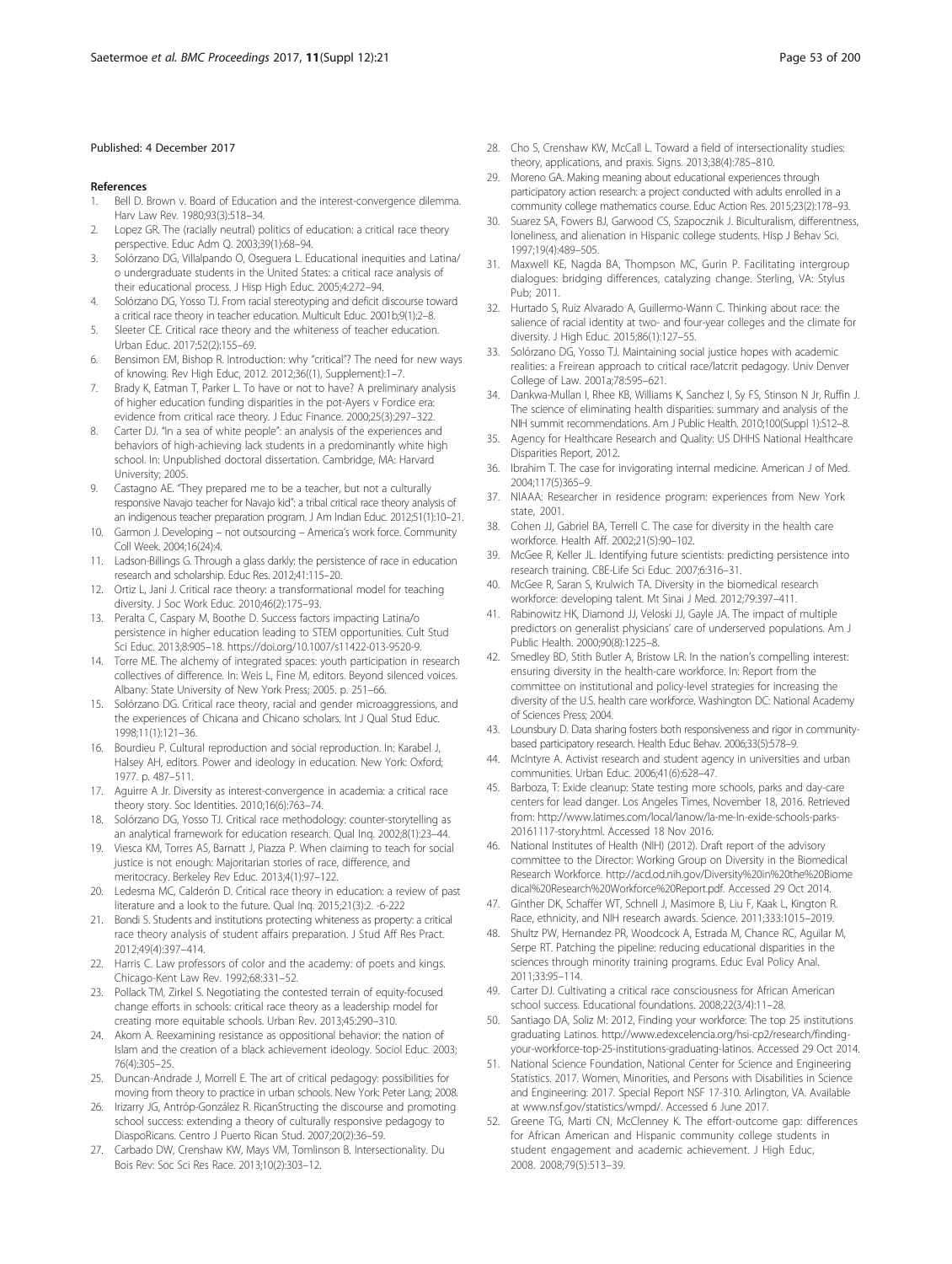#### <span id="page-12-0"></span>Published: 4 December 2017

#### References

- Bell D. Brown v. Board of Education and the interest-convergence dilemma. Harv Law Rev. 1980;93(3):518–34.
- 2. Lopez GR. The (racially neutral) politics of education: a critical race theory perspective. Educ Adm Q. 2003;39(1):68–94.
- 3. Solórzano DG, Villalpando O, Oseguera L. Educational inequities and Latina/ o undergraduate students in the United States: a critical race analysis of their educational process. J Hisp High Educ. 2005;4:272–94.
- 4. Solórzano DG, Yosso TJ. From racial stereotyping and deficit discourse toward a critical race theory in teacher education. Multicult Educ. 2001b;9(1):2–8.
- 5. Sleeter CE. Critical race theory and the whiteness of teacher education. Urban Educ. 2017;52(2):155–69.
- 6. Bensimon EM, Bishop R. Introduction: why "critical"? The need for new ways of knowing. Rev High Educ, 2012. 2012;36((1), Supplement):1–7.
- 7. Brady K, Eatman T, Parker L. To have or not to have? A preliminary analysis of higher education funding disparities in the pot-Ayers v Fordice era: evidence from critical race theory. J Educ Finance. 2000;25(3):297–322.
- 8. Carter DJ. "In a sea of white people": an analysis of the experiences and behaviors of high-achieving lack students in a predominantly white high school. In: Unpublished doctoral dissertation. Cambridge, MA: Harvard University; 2005.
- 9. Castagno AE. "They prepared me to be a teacher, but not a culturally responsive Navajo teacher for Navajo kid": a tribal critical race theory analysis of an indigenous teacher preparation program. J Am Indian Educ. 2012;51(1):10–21.
- 10. Garmon J. Developing not outsourcing America's work force. Community Coll Week. 2004;16(24):4.
- 11. Ladson-Billings G. Through a glass darkly: the persistence of race in education research and scholarship. Educ Res. 2012;41:115–20.
- 12. Ortiz L, Jani J. Critical race theory: a transformational model for teaching diversity. J Soc Work Educ. 2010;46(2):175–93.
- 13. Peralta C, Caspary M, Boothe D. Success factors impacting Latina/o persistence in higher education leading to STEM opportunities. Cult Stud Sci Educ. 2013;8:905–18. [https://doi.org/10.1007/s11422-013-9520-9.](http://dx.doi.org/10.1007/s11422-013-9520-9)
- 14. Torre ME. The alchemy of integrated spaces: youth participation in research collectives of difference. In: Weis L, Fine M, editors. Beyond silenced voices. Albany: State University of New York Press; 2005. p. 251–66.
- 15. Solórzano DG. Critical race theory, racial and gender microaggressions, and the experiences of Chicana and Chicano scholars. Int J Qual Stud Educ. 1998;11(1):121–36.
- 16. Bourdieu P. Cultural reproduction and social reproduction. In: Karabel J, Halsey AH, editors. Power and ideology in education. New York: Oxford; 1977. p. 487–511.
- 17. Aguirre A Jr. Diversity as interest-convergence in academia: a critical race theory story. Soc Identities. 2010;16(6):763–74.
- 18. Solórzano DG, Yosso TJ. Critical race methodology: counter-storytelling as an analytical framework for education research. Qual Inq. 2002;8(1):23–44.
- 19. Viesca KM, Torres AS, Barnatt J, Piazza P. When claiming to teach for social justice is not enough: Majoritarian stories of race, difference, and meritocracy. Berkeley Rev Educ. 2013;4(1):97–122.
- 20. Ledesma MC, Calderón D. Critical race theory in education: a review of past literature and a look to the future. Qual Inq. 2015;21(3):2. -6-222
- 21. Bondi S. Students and institutions protecting whiteness as property: a critical race theory analysis of student affairs preparation. J Stud Aff Res Pract. 2012;49(4):397–414.
- 22. Harris C. Law professors of color and the academy: of poets and kings. Chicago-Kent Law Rev. 1992;68:331–52.
- 23. Pollack TM, Zirkel S. Negotiating the contested terrain of equity-focused change efforts in schools: critical race theory as a leadership model for creating more equitable schools. Urban Rev. 2013;45:290–310.
- 24. Akom A. Reexamining resistance as oppositional behavior: the nation of Islam and the creation of a black achievement ideology. Sociol Educ. 2003; 76(4):305–25.
- 25. Duncan-Andrade J, Morrell E. The art of critical pedagogy: possibilities for moving from theory to practice in urban schools. New York: Peter Lang; 2008.
- 26. Irizarry JG, Antróp-González R. RicanStructing the discourse and promoting school success: extending a theory of culturally responsive pedagogy to DiaspoRicans. Centro J Puerto Rican Stud. 2007;20(2):36–59.
- 27. Carbado DW, Crenshaw KW, Mays VM, Tomlinson B. Intersectionality. Du Bois Rev: Soc Sci Res Race. 2013;10(2):303–12.
- 28. Cho S, Crenshaw KW, McCall L. Toward a field of intersectionality studies: theory, applications, and praxis. Signs. 2013;38(4):785–810.
- 29. Moreno GA. Making meaning about educational experiences through participatory action research: a project conducted with adults enrolled in a community college mathematics course. Educ Action Res. 2015;23(2):178–93.
- 30. Suarez SA, Fowers BJ, Garwood CS, Szapocznik J. Biculturalism, differentness, loneliness, and alienation in Hispanic college students. Hisp J Behav Sci. 1997;19(4):489–505.
- 31. Maxwell KE, Nagda BA, Thompson MC, Gurin P. Facilitating intergroup dialogues: bridging differences, catalyzing change. Sterling, VA: Stylus Pub; 2011.
- 32. Hurtado S, Ruiz Alvarado A, Guillermo-Wann C. Thinking about race: the salience of racial identity at two- and four-year colleges and the climate for diversity. J High Educ. 2015;86(1):127–55.
- 33. Solórzano DG, Yosso TJ. Maintaining social justice hopes with academic realities: a Freirean approach to critical race/latcrit pedagogy. Univ Denver College of Law. 2001a;78:595–621.
- 34. Dankwa-Mullan I, Rhee KB, Williams K, Sanchez I, Sy FS, Stinson N Jr, Ruffin J. The science of eliminating health disparities: summary and analysis of the NIH summit recommendations. Am J Public Health. 2010;100(Suppl 1):S12–8.
- 35. Agency for Healthcare Research and Quality: US DHHS National Healthcare Disparities Report, 2012.
- 36. Ibrahim T. The case for invigorating internal medicine. American J of Med. 2004;117(5)365–9.
- 37. NIAAA: Researcher in residence program: experiences from New York state, 2001.
- 38. Cohen JJ, Gabriel BA, Terrell C. The case for diversity in the health care workforce. Health Aff. 2002;21(5):90–102.
- 39. McGee R, Keller JL. Identifying future scientists: predicting persistence into research training. CBE-Life Sci Educ. 2007;6:316–31.
- 40. McGee R, Saran S, Krulwich TA. Diversity in the biomedical research workforce: developing talent. Mt Sinai J Med. 2012;79:397–411.
- 41. Rabinowitz HK, Diamond JJ, Veloski JJ, Gayle JA. The impact of multiple predictors on generalist physicians' care of underserved populations. Am J Public Health. 2000;90(8):1225–8.
- 42. Smedley BD, Stith Butler A, Bristow LR. In the nation's compelling interest: ensuring diversity in the health-care workforce. In: Report from the committee on institutional and policy-level strategies for increasing the diversity of the U.S. health care workforce. Washington DC: National Academy of Sciences Press; 2004.
- 43. Lounsbury D. Data sharing fosters both responsiveness and rigor in communitybased participatory research. Health Educ Behav. 2006;33(5):578–9.
- 44. McIntyre A. Activist research and student agency in universities and urban communities. Urban Educ. 2006;41(6):628–47.
- 45. Barboza, T: Exide cleanup: State testing more schools, parks and day-care centers for lead danger. Los Angeles Times, November 18, 2016. Retrieved from: [http://www.latimes.com/local/lanow/la-me-ln-exide-schools-parks-](http://www.latimes.com/local/lanow/la-me-ln-exide-schools-parks-20161117-story.html)[20161117-story.html](http://www.latimes.com/local/lanow/la-me-ln-exide-schools-parks-20161117-story.html). Accessed 18 Nov 2016.
- 46. National Institutes of Health (NIH) (2012). Draft report of the advisory committee to the Director: Working Group on Diversity in the Biomedical Research Workforce. [http://acd.od.nih.gov/Diversity%20in%20the%20Biome](http://acd.od.nih.gov/Diversity%20in%20the%20Biomedical%20Research%20Workforce%20Report.pdf) [dical%20Research%20Workforce%20Report.pdf.](http://acd.od.nih.gov/Diversity%20in%20the%20Biomedical%20Research%20Workforce%20Report.pdf) Accessed 29 Oct 2014.
- 47. Ginther DK, Schaffer WT, Schnell J, Masimore B, Liu F, Kaak L, Kington R. Race, ethnicity, and NIH research awards. Science. 2011;333:1015–2019.
- 48. Shultz PW, Hernandez PR, Woodcock A, Estrada M, Chance RC, Aguilar M, Serpe RT. Patching the pipeline: reducing educational disparities in the sciences through minority training programs. Educ Eval Policy Anal. 2011;33:95–114.
- 49. Carter DJ. Cultivating a critical race consciousness for African American school success. Educational foundations. 2008;22(3/4):11–28.
- 50. Santiago DA, Soliz M: 2012, Finding your workforce: The top 25 institutions graduating Latinos. [http://www.edexcelencia.org/hsi-cp2/research/finding](http://www.edexcelencia.org/hsi-cp2/research/finding-your-workforce-top-25-institutions-graduating-latinos)[your-workforce-top-25-institutions-graduating-latinos](http://www.edexcelencia.org/hsi-cp2/research/finding-your-workforce-top-25-institutions-graduating-latinos). Accessed 29 Oct 2014.
- 51. National Science Foundation, National Center for Science and Engineering Statistics. 2017. Women, Minorities, and Persons with Disabilities in Science and Engineering: 2017. Special Report NSF 17-310. Arlington, VA. Available at [www.nsf.gov/statistics/wmpd/](https://www.nsf.gov/statistics/wmpd/). Accessed 6 June 2017.
- 52. Greene TG, Marti CN, McClenney K. The effort-outcome gap: differences for African American and Hispanic community college students in student engagement and academic achievement. J High Educ, 2008. 2008;79(5):513–39.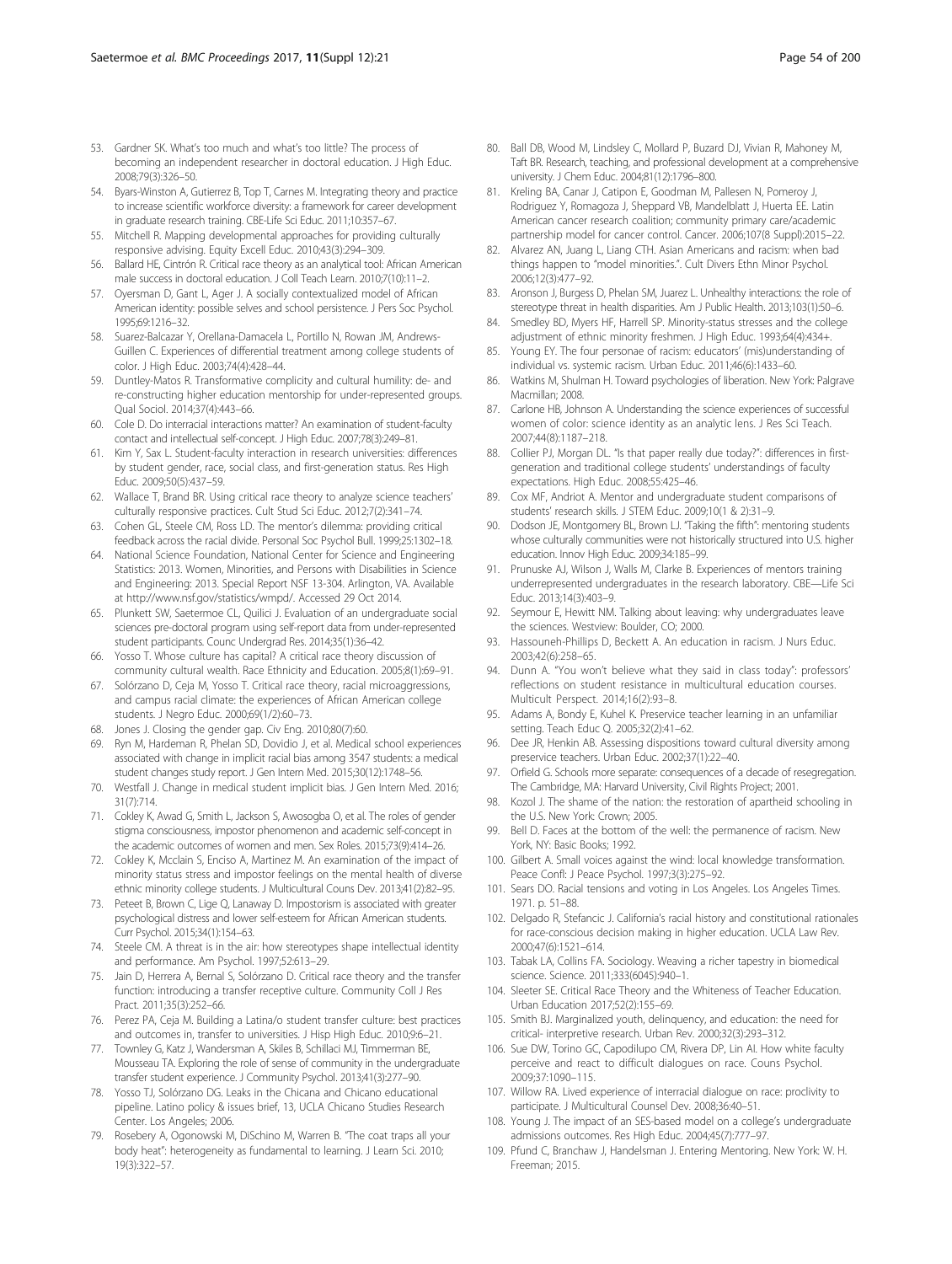- <span id="page-13-0"></span>53. Gardner SK. What's too much and what's too little? The process of becoming an independent researcher in doctoral education. J High Educ. 2008;79(3):326–50.
- 54. Byars-Winston A, Gutierrez B, Top T, Carnes M. Integrating theory and practice to increase scientific workforce diversity: a framework for career development in graduate research training. CBE-Life Sci Educ. 2011;10:357–67.
- 55. Mitchell R. Mapping developmental approaches for providing culturally responsive advising. Equity Excell Educ. 2010;43(3):294–309.
- 56. Ballard HE, Cintrón R. Critical race theory as an analytical tool: African American male success in doctoral education. J Coll Teach Learn. 2010;7(10):11–2.
- 57. Oyersman D, Gant L, Ager J. A socially contextualized model of African American identity: possible selves and school persistence. J Pers Soc Psychol. 1995;69:1216–32.
- 58. Suarez-Balcazar Y, Orellana-Damacela L, Portillo N, Rowan JM, Andrews-Guillen C. Experiences of differential treatment among college students of color. J High Educ. 2003;74(4):428–44.
- 59. Duntley-Matos R. Transformative complicity and cultural humility: de- and re-constructing higher education mentorship for under-represented groups. Qual Sociol. 2014;37(4):443–66.
- 60. Cole D. Do interracial interactions matter? An examination of student-faculty contact and intellectual self-concept. J High Educ. 2007;78(3):249–81.
- 61. Kim Y, Sax L. Student-faculty interaction in research universities: differences by student gender, race, social class, and first-generation status. Res High Educ. 2009;50(5):437–59.
- 62. Wallace T, Brand BR. Using critical race theory to analyze science teachers' culturally responsive practices. Cult Stud Sci Educ. 2012;7(2):341–74.
- 63. Cohen GL, Steele CM, Ross LD. The mentor's dilemma: providing critical feedback across the racial divide. Personal Soc Psychol Bull. 1999;25:1302–18.
- 64. National Science Foundation, National Center for Science and Engineering Statistics: 2013. Women, Minorities, and Persons with Disabilities in Science and Engineering: 2013. Special Report NSF 13-304. Arlington, VA. Available at<http://www.nsf.gov/statistics/wmpd/>. Accessed 29 Oct 2014.
- 65. Plunkett SW, Saetermoe CL, Quilici J. Evaluation of an undergraduate social sciences pre-doctoral program using self-report data from under-represented student participants. Counc Undergrad Res. 2014;35(1):36–42.
- 66. Yosso T. Whose culture has capital? A critical race theory discussion of community cultural wealth. Race Ethnicity and Education. 2005;8(1):69–91.
- 67. Solórzano D, Ceja M, Yosso T. Critical race theory, racial microaggressions, and campus racial climate: the experiences of African American college students. J Negro Educ. 2000;69(1/2):60–73.
- 68. Jones J. Closing the gender gap. Civ Eng. 2010;80(7):60.
- 69. Ryn M, Hardeman R, Phelan SD, Dovidio J, et al. Medical school experiences associated with change in implicit racial bias among 3547 students: a medical student changes study report. J Gen Intern Med. 2015;30(12):1748–56.
- 70. Westfall J. Change in medical student implicit bias. J Gen Intern Med. 2016; 31(7):714.
- 71. Cokley K, Awad G, Smith L, Jackson S, Awosogba O, et al. The roles of gender stigma consciousness, impostor phenomenon and academic self-concept in the academic outcomes of women and men. Sex Roles. 2015;73(9):414–26.
- 72. Cokley K, Mcclain S, Enciso A, Martinez M. An examination of the impact of minority status stress and impostor feelings on the mental health of diverse ethnic minority college students. J Multicultural Couns Dev. 2013;41(2):82–95.
- 73. Peteet B, Brown C, Lige Q, Lanaway D. Impostorism is associated with greater psychological distress and lower self-esteem for African American students. Curr Psychol. 2015;34(1):154–63.
- 74. Steele CM. A threat is in the air: how stereotypes shape intellectual identity and performance. Am Psychol. 1997;52:613–29.
- 75. Jain D, Herrera A, Bernal S, Solórzano D. Critical race theory and the transfer function: introducing a transfer receptive culture. Community Coll J Res Pract. 2011;35(3):252–66.
- 76. Perez PA, Ceja M. Building a Latina/o student transfer culture: best practices and outcomes in, transfer to universities. J Hisp High Educ. 2010;9:6–21.
- 77. Townley G, Katz J, Wandersman A, Skiles B, Schillaci MJ, Timmerman BE, Mousseau TA. Exploring the role of sense of community in the undergraduate transfer student experience. J Community Psychol. 2013;41(3):277–90.
- 78. Yosso TJ, Solórzano DG. Leaks in the Chicana and Chicano educational pipeline. Latino policy & issues brief, 13, UCLA Chicano Studies Research Center. Los Angeles; 2006.
- 79. Rosebery A, Ogonowski M, DiSchino M, Warren B. "The coat traps all your body heat": heterogeneity as fundamental to learning. J Learn Sci. 2010; 19(3):322–57.
- 80. Ball DB, Wood M, Lindsley C, Mollard P, Buzard DJ, Vivian R, Mahoney M, Taft BR. Research, teaching, and professional development at a comprehensive university. J Chem Educ. 2004;81(12):1796–800.
- 81. Kreling BA, Canar J, Catipon E, Goodman M, Pallesen N, Pomeroy J, Rodriguez Y, Romagoza J, Sheppard VB, Mandelblatt J, Huerta EE. Latin American cancer research coalition; community primary care/academic partnership model for cancer control. Cancer. 2006;107(8 Suppl):2015–22.
- 82. Alvarez AN, Juang L, Liang CTH. Asian Americans and racism: when bad things happen to "model minorities.". Cult Divers Ethn Minor Psychol. 2006;12(3):477–92.
- 83. Aronson J, Burgess D, Phelan SM, Juarez L. Unhealthy interactions: the role of stereotype threat in health disparities. Am J Public Health. 2013;103(1):50–6.
- 84. Smedley BD, Myers HF, Harrell SP. Minority-status stresses and the college adjustment of ethnic minority freshmen. J High Educ. 1993;64(4):434+.
- 85. Young EY. The four personae of racism: educators' (mis)understanding of individual vs. systemic racism. Urban Educ. 2011;46(6):1433–60.
- 86. Watkins M, Shulman H. Toward psychologies of liberation. New York: Palgrave Macmillan; 2008.
- 87. Carlone HB, Johnson A. Understanding the science experiences of successful women of color: science identity as an analytic lens. J Res Sci Teach. 2007;44(8):1187–218.
- 88. Collier PJ, Morgan DL. "Is that paper really due today?": differences in firstgeneration and traditional college students' understandings of faculty expectations. High Educ. 2008;55:425–46.
- Cox MF, Andriot A. Mentor and undergraduate student comparisons of students' research skills. J STEM Educ. 2009;10(1 & 2):31–9.
- 90. Dodson JE, Montgomery BL, Brown LJ. "Taking the fifth": mentoring students whose culturally communities were not historically structured into U.S. higher education. Innov High Educ. 2009;34:185–99.
- 91. Prunuske AJ, Wilson J, Walls M, Clarke B. Experiences of mentors training underrepresented undergraduates in the research laboratory. CBE—Life Sci Educ. 2013;14(3):403–9.
- 92. Seymour E, Hewitt NM. Talking about leaving: why undergraduates leave the sciences. Westview: Boulder, CO; 2000.
- 93. Hassouneh-Phillips D, Beckett A. An education in racism. J Nurs Educ. 2003;42(6):258–65.
- 94. Dunn A. "You won't believe what they said in class today": professors' reflections on student resistance in multicultural education courses. Multicult Perspect. 2014;16(2):93–8.
- 95. Adams A, Bondy E, Kuhel K. Preservice teacher learning in an unfamiliar setting. Teach Educ Q. 2005;32(2):41–62.
- 96. Dee JR, Henkin AB. Assessing dispositions toward cultural diversity among preservice teachers. Urban Educ. 2002;37(1):22–40.
- 97. Orfield G. Schools more separate: consequences of a decade of resegregation. The Cambridge, MA: Harvard University, Civil Rights Project; 2001.
- 98. Kozol J. The shame of the nation: the restoration of apartheid schooling in the U.S. New York: Crown; 2005.
- 99. Bell D. Faces at the bottom of the well: the permanence of racism. New York, NY: Basic Books; 1992.
- 100. Gilbert A. Small voices against the wind: local knowledge transformation. Peace Confl: J Peace Psychol. 1997;3(3):275–92.
- 101. Sears DO. Racial tensions and voting in Los Angeles. Los Angeles Times. 1971. p. 51–88.
- 102. Delgado R, Stefancic J. California's racial history and constitutional rationales for race-conscious decision making in higher education. UCLA Law Rev. 2000;47(6):1521–614.
- 103. Tabak LA, Collins FA. Sociology. Weaving a richer tapestry in biomedical science. Science. 2011;333(6045):940–1.
- 104. Sleeter SE. Critical Race Theory and the Whiteness of Teacher Education. Urban Education 2017;52(2):155–69.
- 105. Smith BJ. Marginalized youth, delinquency, and education: the need for critical- interpretive research. Urban Rev. 2000;32(3):293–312.
- 106. Sue DW, Torino GC, Capodilupo CM, Rivera DP, Lin AI. How white faculty perceive and react to difficult dialogues on race. Couns Psychol. 2009;37:1090–115.
- 107. Willow RA. Lived experience of interracial dialogue on race: proclivity to participate. J Multicultural Counsel Dev. 2008;36:40–51.
- 108. Young J. The impact of an SES-based model on a college's undergraduate admissions outcomes. Res High Educ. 2004;45(7):777–97.
- 109. Pfund C, Branchaw J, Handelsman J. Entering Mentoring. New York: W. H. Freeman; 2015.